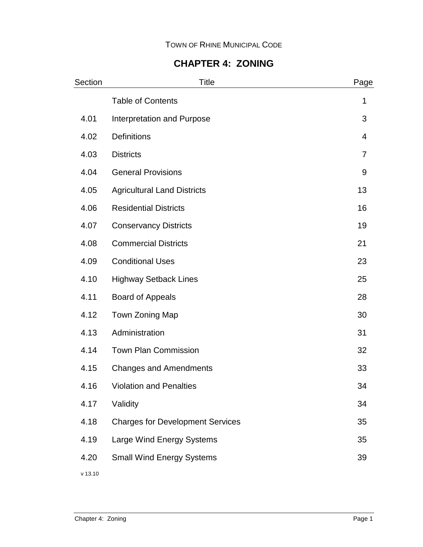# TOWN OF RHINE MUNICIPAL CODE

# **CHAPTER 4: ZONING**

| Section   | <b>Title</b>                            | Page |
|-----------|-----------------------------------------|------|
|           | <b>Table of Contents</b>                | 1    |
| 4.01      | Interpretation and Purpose              | 3    |
| 4.02      | <b>Definitions</b>                      | 4    |
| 4.03      | <b>Districts</b>                        | 7    |
| 4.04      | <b>General Provisions</b>               | 9    |
| 4.05      | <b>Agricultural Land Districts</b>      | 13   |
| 4.06      | <b>Residential Districts</b>            | 16   |
| 4.07      | <b>Conservancy Districts</b>            | 19   |
| 4.08      | <b>Commercial Districts</b>             | 21   |
| 4.09      | <b>Conditional Uses</b>                 | 23   |
| 4.10      | <b>Highway Setback Lines</b>            | 25   |
| 4.11      | <b>Board of Appeals</b>                 | 28   |
| 4.12      | Town Zoning Map                         | 30   |
| 4.13      | Administration                          | 31   |
| 4.14      | <b>Town Plan Commission</b>             | 32   |
| 4.15      | <b>Changes and Amendments</b>           | 33   |
| 4.16      | <b>Violation and Penalties</b>          | 34   |
| 4.17      | Validity                                | 34   |
| 4.18      | <b>Charges for Development Services</b> | 35   |
| 4.19      | Large Wind Energy Systems               | 35   |
| 4.20      | <b>Small Wind Energy Systems</b>        | 39   |
| $v$ 13.10 |                                         |      |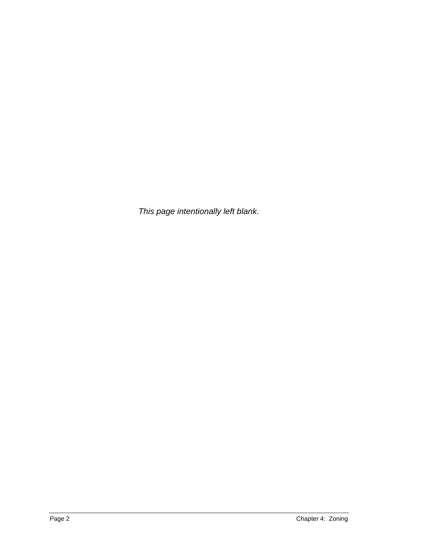*This page intentionally left blank.*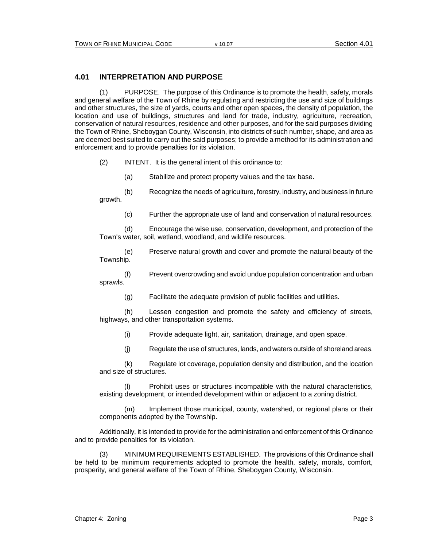#### **4.01 INTERPRETATION AND PURPOSE**

(1) PURPOSE. The purpose of this Ordinance is to promote the health, safety, morals and general welfare of the Town of Rhine by regulating and restricting the use and size of buildings and other structures, the size of yards, courts and other open spaces, the density of population, the location and use of buildings, structures and land for trade, industry, agriculture, recreation, conservation of natural resources, residence and other purposes, and for the said purposes dividing the Town of Rhine, Sheboygan County, Wisconsin, into districts of such number, shape, and area as are deemed best suited to carry out the said purposes; to provide a method for its administration and enforcement and to provide penalties for its violation.

- (2) INTENT. It is the general intent of this ordinance to:
	- (a) Stabilize and protect property values and the tax base.
- (b) Recognize the needs of agriculture, forestry, industry, and business in future growth.
	- (c) Further the appropriate use of land and conservation of natural resources.

(d) Encourage the wise use, conservation, development, and protection of the Town's water, soil, wetland, woodland, and wildlife resources.

(e) Preserve natural growth and cover and promote the natural beauty of the Township.

(f) Prevent overcrowding and avoid undue population concentration and urban sprawls.

(g) Facilitate the adequate provision of public facilities and utilities.

(h) Lessen congestion and promote the safety and efficiency of streets, highways, and other transportation systems.

- (i) Provide adequate light, air, sanitation, drainage, and open space.
- (j) Regulate the use of structures, lands, and waters outside of shoreland areas.

(k) Regulate lot coverage, population density and distribution, and the location and size of structures.

Prohibit uses or structures incompatible with the natural characteristics, existing development, or intended development within or adjacent to a zoning district.

(m) Implement those municipal, county, watershed, or regional plans or their components adopted by the Township.

Additionally, it is intended to provide for the administration and enforcement of this Ordinance and to provide penalties for its violation.

(3) MINIMUM REQUIREMENTS ESTABLISHED. The provisions of this Ordinance shall be held to be minimum requirements adopted to promote the health, safety, morals, comfort, prosperity, and general welfare of the Town of Rhine, Sheboygan County, Wisconsin.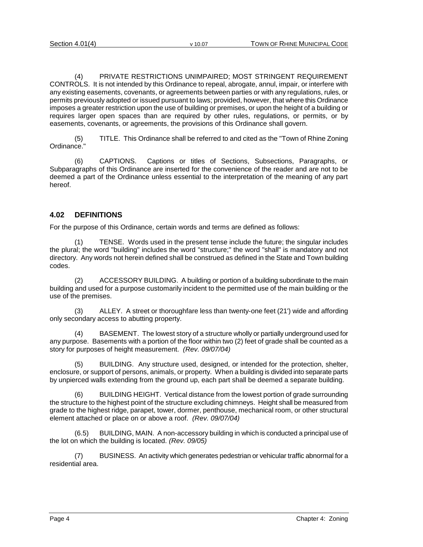(4) PRIVATE RESTRICTIONS UNIMPAIRED; MOST STRINGENT REQUIREMENT CONTROLS. It is not intended by this Ordinance to repeal, abrogate, annul, impair, or interfere with any existing easements, covenants, or agreements between parties or with any regulations, rules, or permits previously adopted or issued pursuant to laws; provided, however, that where this Ordinance imposes a greater restriction upon the use of building or premises, or upon the height of a building or requires larger open spaces than are required by other rules, regulations, or permits, or by easements, covenants, or agreements, the provisions of this Ordinance shall govern.

(5) TITLE. This Ordinance shall be referred to and cited as the "Town of Rhine Zoning Ordinance."

(6) CAPTIONS. Captions or titles of Sections, Subsections, Paragraphs, or Subparagraphs of this Ordinance are inserted for the convenience of the reader and are not to be deemed a part of the Ordinance unless essential to the interpretation of the meaning of any part hereof.

# **4.02 DEFINITIONS**

For the purpose of this Ordinance, certain words and terms are defined as follows:

(1) TENSE. Words used in the present tense include the future; the singular includes the plural; the word "building" includes the word "structure;" the word "shall" is mandatory and not directory. Any words not herein defined shall be construed as defined in the State and Town building codes.

(2) ACCESSORY BUILDING. A building or portion of a building subordinate to the main building and used for a purpose customarily incident to the permitted use of the main building or the use of the premises.

(3) ALLEY. A street or thoroughfare less than twenty-one feet (21') wide and affording only secondary access to abutting property.

(4) BASEMENT. The lowest story of a structure wholly or partially underground used for any purpose. Basements with a portion of the floor within two (2) feet of grade shall be counted as a story for purposes of height measurement. *(Rev. 09/07/04)*

(5) BUILDING. Any structure used, designed, or intended for the protection, shelter, enclosure, or support of persons, animals, or property. When a building is divided into separate parts by unpierced walls extending from the ground up, each part shall be deemed a separate building.

(6) BUILDING HEIGHT. Vertical distance from the lowest portion of grade surrounding the structure to the highest point of the structure excluding chimneys. Height shall be measured from grade to the highest ridge, parapet, tower, dormer, penthouse, mechanical room, or other structural element attached or place on or above a roof. *(Rev. 09/07/04)*

(6.5) BUILDING, MAIN. A non-accessory building in which is conducted a principal use of the lot on which the building is located. *(Rev. 09/05)*

(7) BUSINESS. An activity which generates pedestrian or vehicular traffic abnormal for a residential area.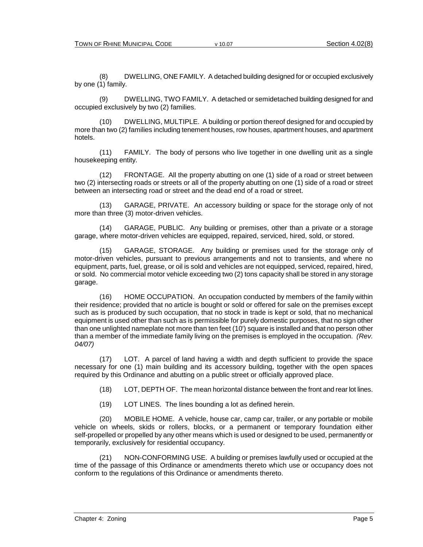(8) DWELLING, ONE FAMILY. A detached building designed for or occupied exclusively by one (1) family.

(9) DWELLING, TWO FAMILY. A detached or semidetached building designed for and occupied exclusively by two (2) families.

(10) DWELLING, MULTIPLE. A building or portion thereof designed for and occupied by more than two (2) families including tenement houses, row houses, apartment houses, and apartment hotels.

(11) FAMILY. The body of persons who live together in one dwelling unit as a single housekeeping entity.

(12) FRONTAGE. All the property abutting on one (1) side of a road or street between two (2) intersecting roads or streets or all of the property abutting on one (1) side of a road or street between an intersecting road or street and the dead end of a road or street.

(13) GARAGE, PRIVATE. An accessory building or space for the storage only of not more than three (3) motor-driven vehicles.

(14) GARAGE, PUBLIC. Any building or premises, other than a private or a storage garage, where motor-driven vehicles are equipped, repaired, serviced, hired, sold, or stored.

(15) GARAGE, STORAGE. Any building or premises used for the storage only of motor-driven vehicles, pursuant to previous arrangements and not to transients, and where no equipment, parts, fuel, grease, or oil is sold and vehicles are not equipped, serviced, repaired, hired, or sold. No commercial motor vehicle exceeding two (2) tons capacity shall be stored in any storage garage.

(16) HOME OCCUPATION. An occupation conducted by members of the family within their residence; provided that no article is bought or sold or offered for sale on the premises except such as is produced by such occupation, that no stock in trade is kept or sold, that no mechanical equipment is used other than such as is permissible for purely domestic purposes, that no sign other than one unlighted nameplate not more than ten feet (10') square is installed and that no person other than a member of the immediate family living on the premises is employed in the occupation. *(Rev. 04/07)*

(17) LOT. A parcel of land having a width and depth sufficient to provide the space necessary for one (1) main building and its accessory building, together with the open spaces required by this Ordinance and abutting on a public street or officially approved place.

(18) LOT, DEPTH OF. The mean horizontal distance between the front and rear lot lines.

(19) LOT LINES. The lines bounding a lot as defined herein.

(20) MOBILE HOME. A vehicle, house car, camp car, trailer, or any portable or mobile vehicle on wheels, skids or rollers, blocks, or a permanent or temporary foundation either self-propelled or propelled by any other means which is used or designed to be used, permanently or temporarily, exclusively for residential occupancy.

(21) NON-CONFORMING USE. A building or premises lawfully used or occupied at the time of the passage of this Ordinance or amendments thereto which use or occupancy does not conform to the regulations of this Ordinance or amendments thereto.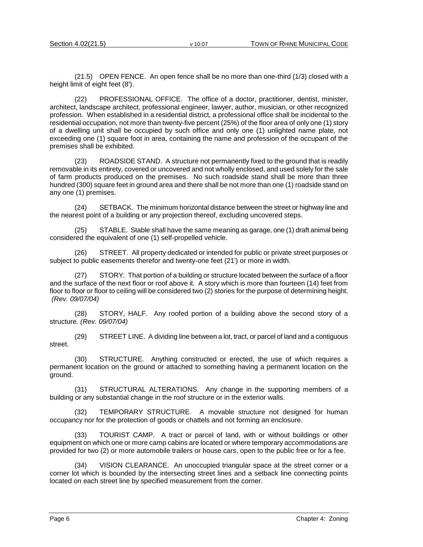(21.5) OPEN FENCE. An open fence shall be no more than one-third (1/3) closed with a height limit of eight feet (8').

(22) PROFESSIONAL OFFICE. The office of a doctor, practitioner, dentist, minister, architect, landscape architect, professional engineer, lawyer, author, musician, or other recognized profession. When established in a residential district, a professional office shall be incidental to the residential occupation, not more than twenty-five percent (25%) of the floor area of only one (1) story of a dwelling unit shall be occupied by such office and only one (1) unlighted name plate, not exceeding one (1) square foot in area, containing the name and profession of the occupant of the premises shall be exhibited.

(23) ROADSIDE STAND. A structure not permanently fixed to the ground that is readily removable in its entirety, covered or uncovered and not wholly enclosed, and used solely for the sale of farm products produced on the premises. No such roadside stand shall be more than three hundred (300) square feet in ground area and there shall be not more than one (1) roadside stand on any one (1) premises.

(24) SETBACK. The minimum horizontal distance between the street or highway line and the nearest point of a building or any projection thereof, excluding uncovered steps.

(25) STABLE. Stable shall have the same meaning as garage, one (1) draft animal being considered the equivalent of one (1) self-propelled vehicle.

(26) STREET. All property dedicated or intended for public or private street purposes or subject to public easements therefor and twenty-one feet (21') or more in width.

(27) STORY. That portion of a building or structure located between the surface of a floor and the surface of the next floor or roof above it. A story which is more than fourteen (14) feet from floor to floor or floor to ceiling will be considered two (2) stories for the purpose of determining height. *(Rev. 09/07/04)*

(28) STORY, HALF. Any roofed portion of a building above the second story of a structure. *(Rev. 09/07/04)*

(29) STREET LINE. A dividing line between a lot, tract, or parcel of land and a contiguous street.

(30) STRUCTURE. Anything constructed or erected, the use of which requires a permanent location on the ground or attached to something having a permanent location on the ground.

(31) STRUCTURAL ALTERATIONS. Any change in the supporting members of a building or any substantial change in the roof structure or in the exterior walls.

(32) TEMPORARY STRUCTURE. A movable structure not designed for human occupancy nor for the protection of goods or chattels and not forming an enclosure.

(33) TOURIST CAMP. A tract or parcel of land, with or without buildings or other equipment on which one or more camp cabins are located or where temporary accommodations are provided for two (2) or more automobile trailers or house cars, open to the public free or for a fee.

(34) VISION CLEARANCE. An unoccupied triangular space at the street corner or a corner lot which is bounded by the intersecting street lines and a setback line connecting points located on each street line by specified measurement from the corner.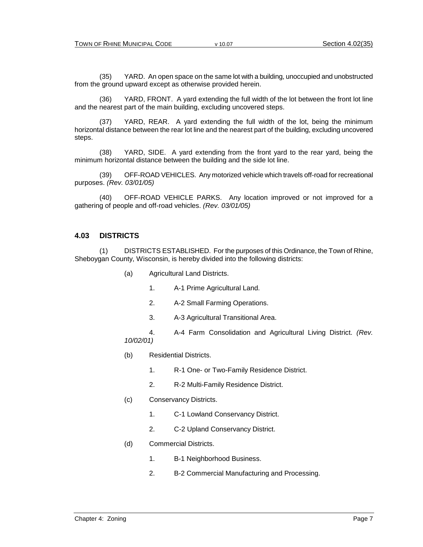(35) YARD. An open space on the same lot with a building, unoccupied and unobstructed from the ground upward except as otherwise provided herein.

(36) YARD, FRONT. A yard extending the full width of the lot between the front lot line and the nearest part of the main building, excluding uncovered steps.

(37) YARD, REAR. A yard extending the full width of the lot, being the minimum horizontal distance between the rear lot line and the nearest part of the building, excluding uncovered steps.

(38) YARD, SIDE. A yard extending from the front yard to the rear yard, being the minimum horizontal distance between the building and the side lot line.

(39) OFF-ROAD VEHICLES. Any motorized vehicle which travels off-road for recreational purposes. *(Rev. 03/01/05)*

(40) OFF-ROAD VEHICLE PARKS. Any location improved or not improved for a gathering of people and off-road vehicles. *(Rev. 03/01/05)*

#### **4.03 DISTRICTS**

(1) DISTRICTS ESTABLISHED. For the purposes of this Ordinance, the Town of Rhine, Sheboygan County, Wisconsin, is hereby divided into the following districts:

- (a) Agricultural Land Districts.
	- 1. A-1 Prime Agricultural Land.
	- 2. A-2 Small Farming Operations.
	- 3. A-3 Agricultural Transitional Area.

4. A-4 Farm Consolidation and Agricultural Living District. *(Rev. 10/02/01)*

- (b) Residential Districts.
	- 1. R-1 One- or Two-Family Residence District.
	- 2. R-2 Multi-Family Residence District.
- (c) Conservancy Districts.
	- 1. C-1 Lowland Conservancy District.
	- 2. C-2 Upland Conservancy District.
- (d) Commercial Districts.
	- 1. B-1 Neighborhood Business.
	- 2. B-2 Commercial Manufacturing and Processing.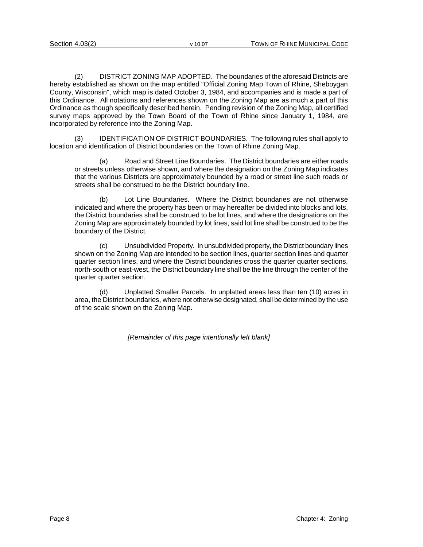(2) DISTRICT ZONING MAP ADOPTED. The boundaries of the aforesaid Districts are hereby established as shown on the map entitled "Official Zoning Map Town of Rhine, Sheboygan County, Wisconsin", which map is dated October 3, 1984, and accompanies and is made a part of this Ordinance. All notations and references shown on the Zoning Map are as much a part of this Ordinance as though specifically described herein. Pending revision of the Zoning Map, all certified survey maps approved by the Town Board of the Town of Rhine since January 1, 1984, are incorporated by reference into the Zoning Map.

(3) IDENTIFICATION OF DISTRICT BOUNDARIES. The following rules shall apply to location and identification of District boundaries on the Town of Rhine Zoning Map.

(a) Road and Street Line Boundaries. The District boundaries are either roads or streets unless otherwise shown, and where the designation on the Zoning Map indicates that the various Districts are approximately bounded by a road or street line such roads or streets shall be construed to be the District boundary line.

(b) Lot Line Boundaries. Where the District boundaries are not otherwise indicated and where the property has been or may hereafter be divided into blocks and lots, the District boundaries shall be construed to be lot lines, and where the designations on the Zoning Map are approximately bounded by lot lines, said lot line shall be construed to be the boundary of the District.

Unsubdivided Property. In unsubdivided property, the District boundary lines shown on the Zoning Map are intended to be section lines, quarter section lines and quarter quarter section lines, and where the District boundaries cross the quarter quarter sections, north-south or east-west, the District boundary line shall be the line through the center of the quarter quarter section.

(d) Unplatted Smaller Parcels. In unplatted areas less than ten (10) acres in area, the District boundaries, where not otherwise designated, shall be determined by the use of the scale shown on the Zoning Map.

*[Remainder of this page intentionally left blank]*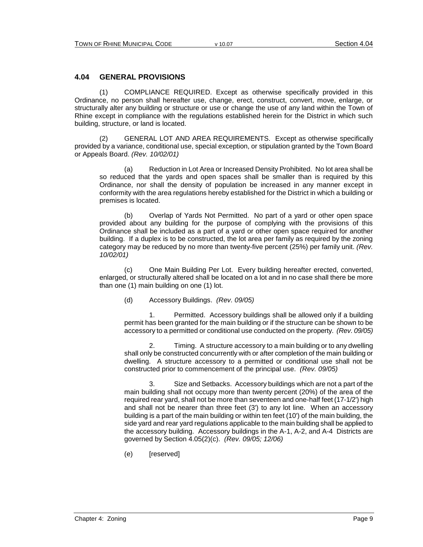#### **4.04 GENERAL PROVISIONS**

(1) COMPLIANCE REQUIRED. Except as otherwise specifically provided in this Ordinance, no person shall hereafter use, change, erect, construct, convert, move, enlarge, or structurally alter any building or structure or use or change the use of any land within the Town of Rhine except in compliance with the regulations established herein for the District in which such building, structure, or land is located.

(2) GENERAL LOT AND AREA REQUIREMENTS. Except as otherwise specifically provided by a variance, conditional use, special exception, or stipulation granted by the Town Board or Appeals Board. *(Rev. 10/02/01)*

(a) Reduction in Lot Area or Increased Density Prohibited. No lot area shall be so reduced that the yards and open spaces shall be smaller than is required by this Ordinance, nor shall the density of population be increased in any manner except in conformity with the area regulations hereby established for the District in which a building or premises is located.

(b) Overlap of Yards Not Permitted. No part of a yard or other open space provided about any building for the purpose of complying with the provisions of this Ordinance shall be included as a part of a yard or other open space required for another building. If a duplex is to be constructed, the lot area per family as required by the zoning category may be reduced by no more than twenty-five percent (25%) per family unit. *(Rev. 10/02/01)*

(c) One Main Building Per Lot. Every building hereafter erected, converted, enlarged, or structurally altered shall be located on a lot and in no case shall there be more than one (1) main building on one (1) lot.

(d) Accessory Buildings. *(Rev. 09/05)*

1. Permitted. Accessory buildings shall be allowed only if a building permit has been granted for the main building or if the structure can be shown to be accessory to a permitted or conditional use conducted on the property. *(Rev. 09/05)*

2. Timing. A structure accessory to a main building or to any dwelling shall only be constructed concurrently with or after completion of the main building or dwelling. A structure accessory to a permitted or conditional use shall not be constructed prior to commencement of the principal use. *(Rev. 09/05)*

3. Size and Setbacks. Accessory buildings which are not a part of the main building shall not occupy more than twenty percent (20%) of the area of the required rear yard, shall not be more than seventeen and one-half feet (17-1/2') high and shall not be nearer than three feet (3') to any lot line. When an accessory building is a part of the main building or within ten feet (10') of the main building, the side yard and rear yard regulations applicable to the main building shall be applied to the accessory building. Accessory buildings in the A-1, A-2, and A-4 Districts are governed by Section 4.05(2)(c). *(Rev. 09/05; 12/06)*

(e) [reserved]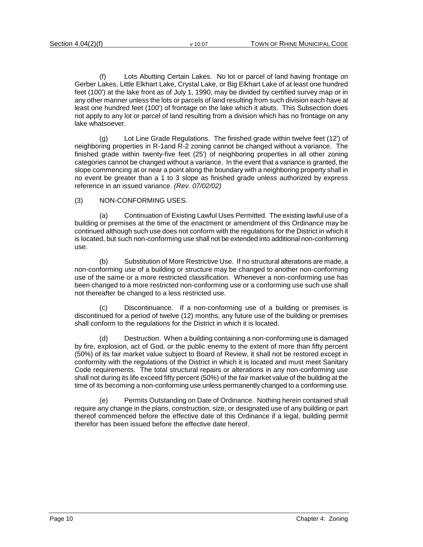(f) Lots Abutting Certain Lakes. No lot or parcel of land having frontage on Gerber Lakes, Little Elkhart Lake, Crystal Lake, or Big Elkhart Lake of at least one hundred feet (100') at the lake front as of July 1, 1990, may be divided by certified survey map or in any other manner unless the lots or parcels of land resulting from such division each have at least one hundred feet (100') of frontage on the lake which it abuts. This Subsection does not apply to any lot or parcel of land resulting from a division which has no frontage on any lake whatsoever.

(g) Lot Line Grade Regulations. The finished grade within twelve feet (12') of neighboring properties in R-1and R-2 zoning cannot be changed without a variance. The finished grade within twenty-five feet (25') of neighboring properties in all other zoning categories cannot be changed without a variance. In the event that a variance is granted, the slope commencing at or near a point along the boundary with a neighboring property shall in no event be greater than a 1 to 3 slope as finished grade unless authorized by express reference in an issued variance. *(Rev. 07/02/02)*

#### (3) NON-CONFORMING USES.

(a) Continuation of Existing Lawful Uses Permitted. The existing lawful use of a building or premises at the time of the enactment or amendment of this Ordinance may be continued although such use does not conform with the regulations for the District in which it is located, but such non-conforming use shall not be extended into additional non-conforming use.

(b) Substitution of More Restrictive Use. If no structural alterations are made, a non-conforming use of a building or structure may be changed to another non-conforming use of the same or a more restricted classification. Whenever a non-conforming use has been changed to a more restricted non-conforming use or a conforming use such use shall not thereafter be changed to a less restricted use.

(c) Discontinuance. If a non-conforming use of a building or premises is discontinued for a period of twelve (12) months, any future use of the building or premises shall conform to the regulations for the District in which it is located.

(d) Destruction. When a building containing a non-conforming use is damaged by fire, explosion, act of God, or the public enemy to the extent of more than fifty percent (50%) of its fair market value subject to Board of Review, it shall not be restored except in conformity with the regulations of the District in which it is located and must meet Sanitary Code requirements. The total structural repairs or alterations in any non-conforming use shall not during its life exceed fifty percent (50%) of the fair market value of the building at the time of its becoming a non-conforming use unless permanently changed to a conforming use.

(e) Permits Outstanding on Date of Ordinance. Nothing herein contained shall require any change in the plans, construction, size, or designated use of any building or part thereof commenced before the effective date of this Ordinance if a legal, building permit therefor has been issued before the effective date hereof.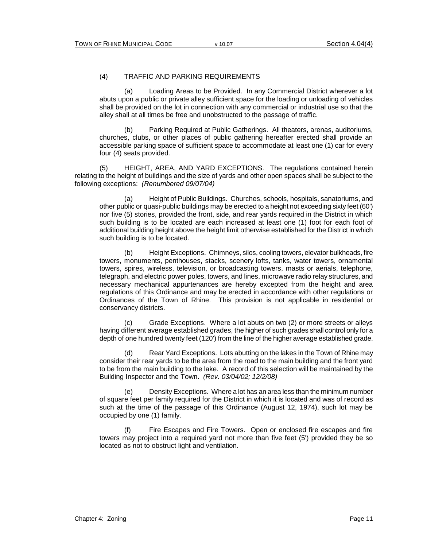#### (4) TRAFFIC AND PARKING REQUIREMENTS

(a) Loading Areas to be Provided. In any Commercial District wherever a lot abuts upon a public or private alley sufficient space for the loading or unloading of vehicles shall be provided on the lot in connection with any commercial or industrial use so that the alley shall at all times be free and unobstructed to the passage of traffic.

(b) Parking Required at Public Gatherings. All theaters, arenas, auditoriums, churches, clubs, or other places of public gathering hereafter erected shall provide an accessible parking space of sufficient space to accommodate at least one (1) car for every four (4) seats provided.

(5) HEIGHT, AREA, AND YARD EXCEPTIONS. The regulations contained herein relating to the height of buildings and the size of yards and other open spaces shall be subject to the following exceptions: *(Renumbered 09/07/04)*

(a) Height of Public Buildings. Churches, schools, hospitals, sanatoriums, and other public or quasi-public buildings may be erected to a height not exceeding sixty feet (60') nor five (5) stories, provided the front, side, and rear yards required in the District in which such building is to be located are each increased at least one (1) foot for each foot of additional building height above the height limit otherwise established for the District in which such building is to be located.

(b) Height Exceptions. Chimneys, silos, cooling towers, elevator bulkheads, fire towers, monuments, penthouses, stacks, scenery lofts, tanks, water towers, ornamental towers, spires, wireless, television, or broadcasting towers, masts or aerials, telephone, telegraph, and electric power poles, towers, and lines, microwave radio relay structures, and necessary mechanical appurtenances are hereby excepted from the height and area regulations of this Ordinance and may be erected in accordance with other regulations or Ordinances of the Town of Rhine. This provision is not applicable in residential or conservancy districts.

(c) Grade Exceptions. Where a lot abuts on two (2) or more streets or alleys having different average established grades, the higher of such grades shall control only for a depth of one hundred twenty feet (120') from the line of the higher average established grade.

(d) Rear Yard Exceptions. Lots abutting on the lakes in the Town of Rhine may consider their rear yards to be the area from the road to the main building and the front yard to be from the main building to the lake. A record of this selection will be maintained by the Building Inspector and the Town. *(Rev. 03/04/02; 12/2/08)*

Density Exceptions. Where a lot has an area less than the minimum number of square feet per family required for the District in which it is located and was of record as such at the time of the passage of this Ordinance (August 12, 1974), such lot may be occupied by one (1) family.

(f) Fire Escapes and Fire Towers. Open or enclosed fire escapes and fire towers may project into a required yard not more than five feet (5') provided they be so located as not to obstruct light and ventilation.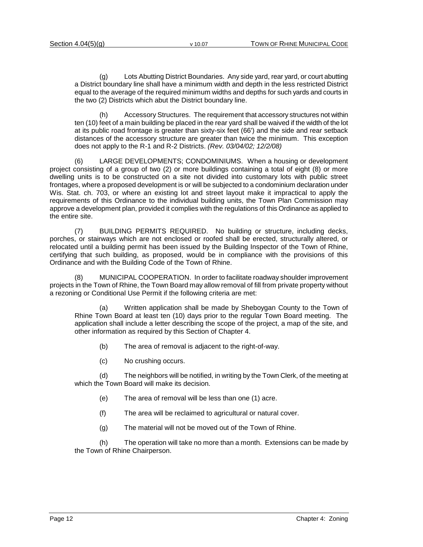(g) Lots Abutting District Boundaries. Any side yard, rear yard, or court abutting a District boundary line shall have a minimum width and depth in the less restricted District equal to the average of the required minimum widths and depths for such yards and courts in the two (2) Districts which abut the District boundary line.

Accessory Structures. The requirement that accessory structures not within ten (10) feet of a main building be placed in the rear yard shall be waived if the width of the lot at its public road frontage is greater than sixty-six feet (66') and the side and rear setback distances of the accessory structure are greater than twice the minimum. This exception does not apply to the R-1 and R-2 Districts. *(Rev. 03/04/02; 12/2/08)*

(6) LARGE DEVELOPMENTS; CONDOMINIUMS. When a housing or development project consisting of a group of two (2) or more buildings containing a total of eight (8) or more dwelling units is to be constructed on a site not divided into customary lots with public street frontages, where a proposed development is or will be subjected to a condominium declaration under Wis. Stat. ch. 703, or where an existing lot and street layout make it impractical to apply the requirements of this Ordinance to the individual building units, the Town Plan Commission may approve a development plan, provided it complies with the regulations of this Ordinance as applied to the entire site.

(7) BUILDING PERMITS REQUIRED. No building or structure, including decks, porches, or stairways which are not enclosed or roofed shall be erected, structurally altered, or relocated until a building permit has been issued by the Building Inspector of the Town of Rhine, certifying that such building, as proposed, would be in compliance with the provisions of this Ordinance and with the Building Code of the Town of Rhine.

(8) MUNICIPAL COOPERATION. In order to facilitate roadway shoulder improvement projects in the Town of Rhine, the Town Board may allow removal of fill from private property without a rezoning or Conditional Use Permit if the following criteria are met:

(a) Written application shall be made by Sheboygan County to the Town of Rhine Town Board at least ten (10) days prior to the regular Town Board meeting. The application shall include a letter describing the scope of the project, a map of the site, and other information as required by this Section of Chapter 4.

- (b) The area of removal is adjacent to the right-of-way.
- (c) No crushing occurs.

(d) The neighbors will be notified, in writing by the Town Clerk, of the meeting at which the Town Board will make its decision.

- (e) The area of removal will be less than one (1) acre.
- (f) The area will be reclaimed to agricultural or natural cover.
- (g) The material will not be moved out of the Town of Rhine.

(h) The operation will take no more than a month. Extensions can be made by the Town of Rhine Chairperson.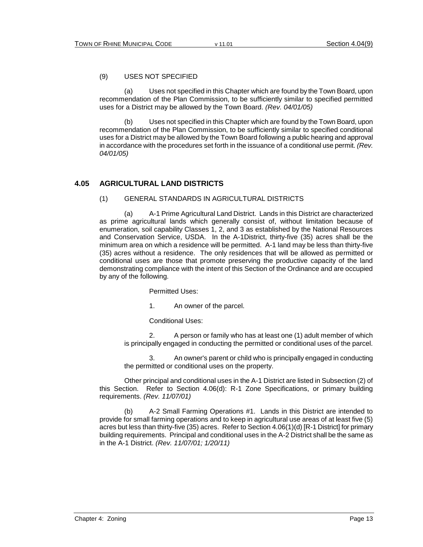#### (9) USES NOT SPECIFIED

(a) Uses not specified in this Chapter which are found by the Town Board, upon recommendation of the Plan Commission, to be sufficiently similar to specified permitted uses for a District may be allowed by the Town Board. *(Rev. 04/01/05)*

(b) Uses not specified in this Chapter which are found by the Town Board, upon recommendation of the Plan Commission, to be sufficiently similar to specified conditional uses for a District may be allowed by the Town Board following a public hearing and approval in accordance with the procedures set forth in the issuance of a conditional use permit. *(Rev. 04/01/05)*

#### **4.05 AGRICULTURAL LAND DISTRICTS**

#### (1) GENERAL STANDARDS IN AGRICULTURAL DISTRICTS

(a) A-1 Prime Agricultural Land District. Lands in this District are characterized as prime agricultural lands which generally consist of, without limitation because of enumeration, soil capability Classes 1, 2, and 3 as established by the National Resources and Conservation Service, USDA. In the A-1District, thirty-five (35) acres shall be the minimum area on which a residence will be permitted. A-1 land may be less than thirty-five (35) acres without a residence. The only residences that will be allowed as permitted or conditional uses are those that promote preserving the productive capacity of the land demonstrating compliance with the intent of this Section of the Ordinance and are occupied by any of the following.

Permitted Uses:

1. An owner of the parcel.

Conditional Uses:

2. A person or family who has at least one (1) adult member of which is principally engaged in conducting the permitted or conditional uses of the parcel.

3. An owner's parent or child who is principally engaged in conducting the permitted or conditional uses on the property.

Other principal and conditional uses in the A-1 District are listed in Subsection (2) of this Section. Refer to Section 4.06(d): R-1 Zone Specifications, or primary building requirements. *(Rev. 11/07/01)*

(b) A-2 Small Farming Operations #1. Lands in this District are intended to provide for small farming operations and to keep in agricultural use areas of at least five (5) acres but less than thirty-five (35) acres. Refer to Section 4.06(1)(d) [R-1 District] for primary building requirements. Principal and conditional uses in the A-2 District shall be the same as in the A-1 District. *(Rev. 11/07/01; 1/20/11)*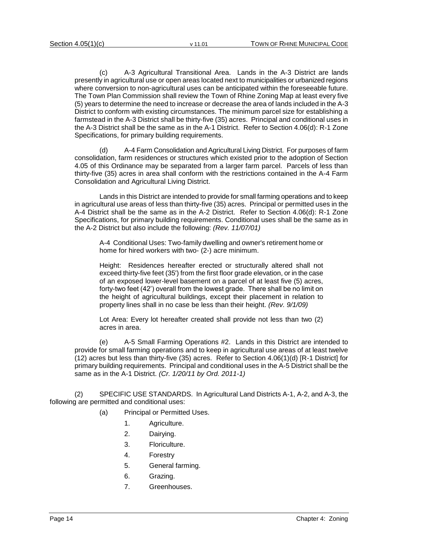(c) A-3 Agricultural Transitional Area. Lands in the A-3 District are lands presently in agricultural use or open areas located next to municipalities or urbanized regions where conversion to non-agricultural uses can be anticipated within the foreseeable future. The Town Plan Commission shall review the Town of Rhine Zoning Map at least every five (5) years to determine the need to increase or decrease the area of lands included in the A-3 District to conform with existing circumstances. The minimum parcel size for establishing a farmstead in the A-3 District shall be thirty-five (35) acres. Principal and conditional uses in the A-3 District shall be the same as in the A-1 District. Refer to Section 4.06(d): R-1 Zone Specifications, for primary building requirements.

(d) A-4 Farm Consolidation and Agricultural Living District. For purposes of farm consolidation, farm residences or structures which existed prior to the adoption of Section 4.05 of this Ordinance may be separated from a larger farm parcel. Parcels of less than thirty-five (35) acres in area shall conform with the restrictions contained in the A-4 Farm Consolidation and Agricultural Living District.

Lands in this District are intended to provide for small farming operations and to keep in agricultural use areas of less than thirty-five (35) acres. Principal or permitted uses in the A-4 District shall be the same as in the A-2 District. Refer to Section 4.06(d): R-1 Zone Specifications, for primary building requirements. Conditional uses shall be the same as in the A-2 District but also include the following: *(Rev. 11/07/01)*

A-4 Conditional Uses: Two-family dwelling and owner's retirement home or home for hired workers with two- (2-) acre minimum.

Height: Residences hereafter erected or structurally altered shall not exceed thirty-five feet (35') from the first floor grade elevation, or in the case of an exposed lower-level basement on a parcel of at least five (5) acres, forty-two feet (42') overall from the lowest grade. There shall be no limit on the height of agricultural buildings, except their placement in relation to property lines shall in no case be less than their height. *(Rev. 9/1/09)*

Lot Area: Every lot hereafter created shall provide not less than two (2) acres in area.

(e) A-5 Small Farming Operations #2. Lands in this District are intended to provide for small farming operations and to keep in agricultural use areas of at least twelve (12) acres but less than thirty-five (35) acres. Refer to Section 4.06(1)(d) [R-1 District] for primary building requirements. Principal and conditional uses in the A-5 District shall be the same as in the A-1 District. *(Cr. 1/20/11 by Ord. 2011-1)*

(2) SPECIFIC USE STANDARDS. In Agricultural Land Districts A-1, A-2, and A-3, the following are permitted and conditional uses:

- (a) Principal or Permitted Uses.
	- 1. Agriculture.
	- 2. Dairying.
	- 3. Floriculture.
	- 4. Forestry
	- 5. General farming.
	- 6. Grazing.
	- 7. Greenhouses.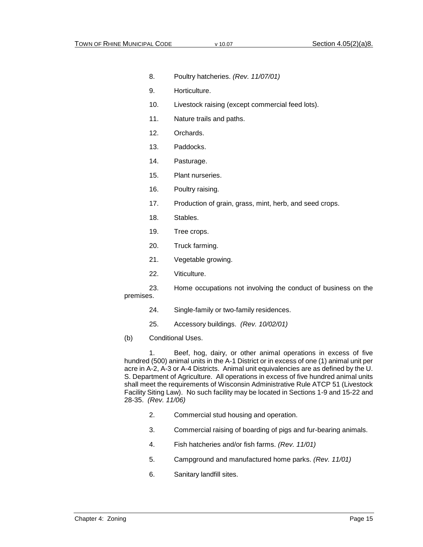- 8. Poultry hatcheries. *(Rev. 11/07/01)*
- 9. Horticulture.
- 10. Livestock raising (except commercial feed lots).
- 11. Nature trails and paths.
- 12. Orchards.
- 13. Paddocks.
- 14. Pasturage.
- 15. Plant nurseries.
- 16. Poultry raising.
- 17. Production of grain, grass, mint, herb, and seed crops.
- 18. Stables.
- 19. Tree crops.
- 20. Truck farming.
- 21. Vegetable growing.
- 22. Viticulture.

23. Home occupations not involving the conduct of business on the premises.

- 24. Single-family or two-family residences.
- 25. Accessory buildings. *(Rev. 10/02/01)*
- (b) Conditional Uses.

1. Beef, hog, dairy, or other animal operations in excess of five hundred (500) animal units in the A-1 District or in excess of one (1) animal unit per acre in A-2, A-3 or A-4 Districts. Animal unit equivalencies are as defined by the U. S. Department of Agriculture. All operations in excess of five hundred animal units shall meet the requirements of Wisconsin Administrative Rule ATCP 51 (Livestock Facility Siting Law). No such facility may be located in Sections 1-9 and 15-22 and 28-35. *(Rev. 11/06)*

- 2. Commercial stud housing and operation.
- 3. Commercial raising of boarding of pigs and fur-bearing animals.
- 4. Fish hatcheries and/or fish farms. *(Rev. 11/01)*
- 5. Campground and manufactured home parks. *(Rev. 11/01)*
- 6. Sanitary landfill sites.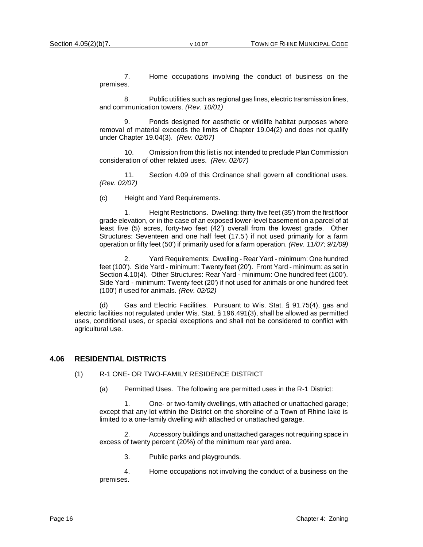7. Home occupations involving the conduct of business on the premises.

8. Public utilities such as regional gas lines, electric transmission lines, and communication towers. *(Rev. 10/01)*

9. Ponds designed for aesthetic or wildlife habitat purposes where removal of material exceeds the limits of Chapter 19.04(2) and does not qualify under Chapter 19.04(3). *(Rev. 02/07)*

10. Omission from this list is not intended to preclude Plan Commission consideration of other related uses. *(Rev. 02/07)*

11. Section 4.09 of this Ordinance shall govern all conditional uses. *(Rev. 02/07)*

(c) Height and Yard Requirements.

1. Height Restrictions. Dwelling: thirty five feet (35') from the first floor grade elevation, or in the case of an exposed lower-level basement on a parcel of at least five (5) acres, forty-two feet (42') overall from the lowest grade. Other Structures: Seventeen and one half feet (17.5') if not used primarily for a farm operation or fifty feet (50') if primarily used for a farm operation. *(Rev. 11/07; 9/1/09)*

2. Yard Requirements: Dwelling - Rear Yard - minimum: One hundred feet (100'). Side Yard - minimum: Twenty feet (20'). Front Yard - minimum: as set in Section 4.10(4). Other Structures: Rear Yard - minimum: One hundred feet (100'). Side Yard - minimum: Twenty feet (20') if not used for animals or one hundred feet (100') if used for animals. *(Rev. 02/02)*

(d) Gas and Electric Facilities. Pursuant to Wis. Stat. § 91.75(4), gas and electric facilities not regulated under Wis. Stat. § 196.491(3), shall be allowed as permitted uses, conditional uses, or special exceptions and shall not be considered to conflict with agricultural use.

#### **4.06 RESIDENTIAL DISTRICTS**

(1) R-1 ONE- OR TWO-FAMILY RESIDENCE DISTRICT

(a) Permitted Uses. The following are permitted uses in the R-1 District:

1. One- or two-family dwellings, with attached or unattached garage; except that any lot within the District on the shoreline of a Town of Rhine lake is limited to a one-family dwelling with attached or unattached garage.

2. Accessory buildings and unattached garages not requiring space in excess of twenty percent (20%) of the minimum rear yard area.

3. Public parks and playgrounds.

4. Home occupations not involving the conduct of a business on the premises.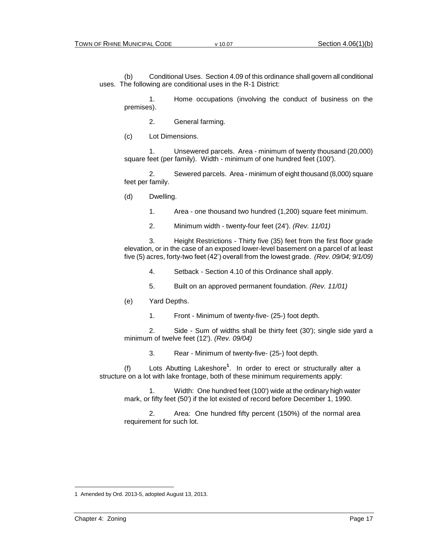(b) Conditional Uses. Section 4.09 of this ordinance shall govern all conditional uses. The following are conditional uses in the R-1 District:

1. Home occupations (involving the conduct of business on the premises).

- 2. General farming.
- (c) Lot Dimensions.

1. Unsewered parcels. Area - minimum of twenty thousand (20,000) square feet (per family). Width - minimum of one hundred feet (100').

2. Sewered parcels. Area - minimum of eight thousand (8,000) square feet per family.

- (d) Dwelling.
	- 1. Area one thousand two hundred (1,200) square feet minimum.
	- 2. Minimum width twenty-four feet (24'). *(Rev. 11/01)*

3. Height Restrictions - Thirty five (35) feet from the first floor grade elevation, or in the case of an exposed lower-level basement on a parcel of at least five (5) acres, forty-two feet (42') overall from the lowest grade. *(Rev. 09/04; 9/1/09)*

- 4. Setback Section 4.10 of this Ordinance shall apply.
- 5. Built on an approved permanent foundation. *(Rev. 11/01)*
- (e) Yard Depths.
	- 1. Front Minimum of twenty-five- (25-) foot depth.

2. Side - Sum of widths shall be thirty feet (30'); single side yard a minimum of twelve feet (12'). *(Rev. 09/04)*

3. Rear - Minimum of twenty-five- (25-) foot depth.

(f) Lots Abutting Lakeshore**<sup>1</sup>** . In order to erect or structurally alter a structure on a lot with lake frontage, both of these minimum requirements apply:

1. Width: One hundred feet (100') wide at the ordinary high water mark, or fifty feet (50') if the lot existed of record before December 1, 1990.

2. Area: One hundred fifty percent (150%) of the normal area requirement for such lot.

 $\overline{a}$ 

<sup>1</sup> Amended by Ord. 2013-5, adopted August 13, 2013.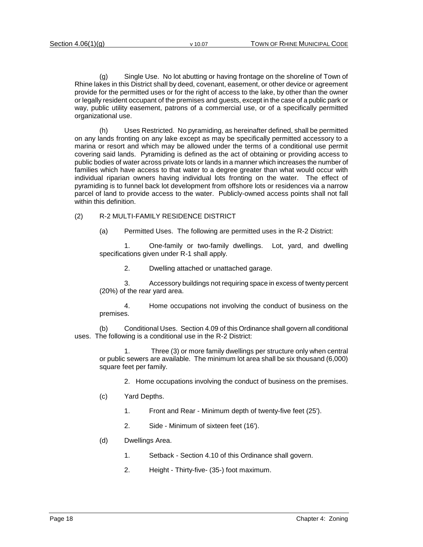(g) Single Use. No lot abutting or having frontage on the shoreline of Town of Rhine lakes in this District shall by deed, covenant, easement, or other device or agreement provide for the permitted uses or for the right of access to the lake, by other than the owner or legally resident occupant of the premises and guests, except in the case of a public park or way, public utility easement, patrons of a commercial use, or of a specifically permitted organizational use.

(h) Uses Restricted. No pyramiding, as hereinafter defined, shall be permitted on any lands fronting on any lake except as may be specifically permitted accessory to a marina or resort and which may be allowed under the terms of a conditional use permit covering said lands. Pyramiding is defined as the act of obtaining or providing access to public bodies of water across private lots or lands in a manner which increases the number of families which have access to that water to a degree greater than what would occur with individual riparian owners having individual lots fronting on the water. The effect of pyramiding is to funnel back lot development from offshore lots or residences via a narrow parcel of land to provide access to the water. Publicly-owned access points shall not fall within this definition.

- (2) R-2 MULTI-FAMILY RESIDENCE DISTRICT
	- (a) Permitted Uses. The following are permitted uses in the R-2 District:

1. One-family or two-family dwellings. Lot, yard, and dwelling specifications given under R-1 shall apply.

2. Dwelling attached or unattached garage.

3. Accessory buildings not requiring space in excess of twenty percent (20%) of the rear yard area.

4. Home occupations not involving the conduct of business on the premises.

(b) Conditional Uses. Section 4.09 of this Ordinance shall govern all conditional uses. The following is a conditional use in the R-2 District:

1. Three (3) or more family dwellings per structure only when central or public sewers are available. The minimum lot area shall be six thousand (6,000) square feet per family.

2. Home occupations involving the conduct of business on the premises.

- (c) Yard Depths.
	- 1. Front and Rear Minimum depth of twenty-five feet (25').
	- 2. Side Minimum of sixteen feet (16').
- (d) Dwellings Area.
	- 1. Setback Section 4.10 of this Ordinance shall govern.
	- 2. Height Thirty-five- (35-) foot maximum.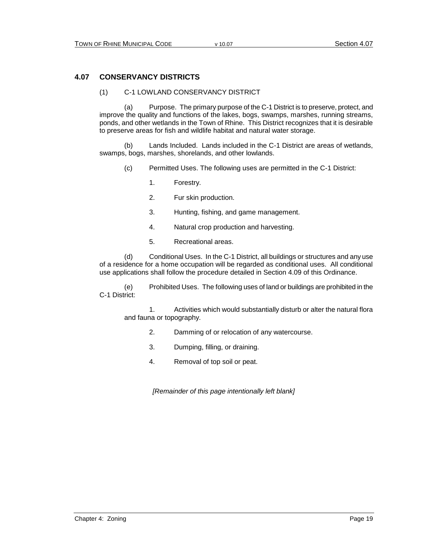#### **4.07 CONSERVANCY DISTRICTS**

#### (1) C-1 LOWLAND CONSERVANCY DISTRICT

(a) Purpose. The primary purpose of the C-1 District is to preserve, protect, and improve the quality and functions of the lakes, bogs, swamps, marshes, running streams, ponds, and other wetlands in the Town of Rhine. This District recognizes that it is desirable to preserve areas for fish and wildlife habitat and natural water storage.

(b) Lands Included. Lands included in the C-1 District are areas of wetlands, swamps, bogs, marshes, shorelands, and other lowlands.

- (c) Permitted Uses. The following uses are permitted in the C-1 District:
	- 1. Forestry.
	- 2. Fur skin production.
	- 3. Hunting, fishing, and game management.
	- 4. Natural crop production and harvesting.
	- 5. Recreational areas.

(d) Conditional Uses. In the C-1 District, all buildings or structures and any use of a residence for a home occupation will be regarded as conditional uses. All conditional use applications shall follow the procedure detailed in Section 4.09 of this Ordinance.

(e) Prohibited Uses. The following uses of land or buildings are prohibited in the C-1 District:

1. Activities which would substantially disturb or alter the natural flora and fauna or topography.

- 2. Damming of or relocation of any watercourse.
- 3. Dumping, filling, or draining.
- 4. Removal of top soil or peat.

*[Remainder of this page intentionally left blank]*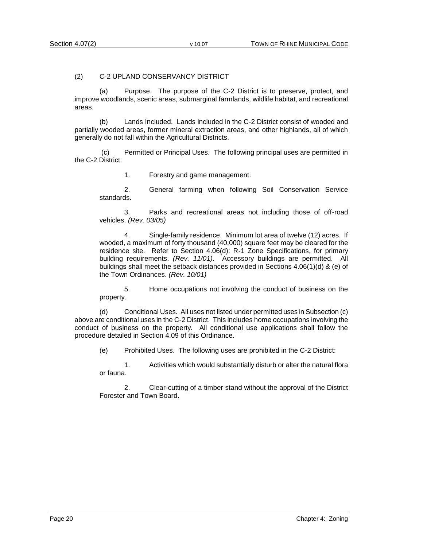#### (2) C-2 UPLAND CONSERVANCY DISTRICT

(a) Purpose. The purpose of the C-2 District is to preserve, protect, and improve woodlands, scenic areas, submarginal farmlands, wildlife habitat, and recreational areas.

(b) Lands Included. Lands included in the C-2 District consist of wooded and partially wooded areas, former mineral extraction areas, and other highlands, all of which generally do not fall within the Agricultural Districts.

(c) Permitted or Principal Uses. The following principal uses are permitted in the C-2 District:

1. Forestry and game management.

2. General farming when following Soil Conservation Service standards.

3. Parks and recreational areas not including those of off-road vehicles. *(Rev. 03/05)*

4. Single-family residence. Minimum lot area of twelve (12) acres. If wooded, a maximum of forty thousand (40,000) square feet may be cleared for the residence site. Refer to Section 4.06(d): R-1 Zone Specifications, for primary building requirements. *(Rev. 11/01)*. Accessory buildings are permitted. All buildings shall meet the setback distances provided in Sections 4.06(1)(d) & (e) of the Town Ordinances. *(Rev. 10/01)*

5. Home occupations not involving the conduct of business on the property.

(d) Conditional Uses. All uses not listed under permitted uses in Subsection (c) above are conditional uses in the C-2 District. This includes home occupations involving the conduct of business on the property. All conditional use applications shall follow the procedure detailed in Section 4.09 of this Ordinance.

(e) Prohibited Uses. The following uses are prohibited in the C-2 District:

1. Activities which would substantially disturb or alter the natural flora or fauna.

2. Clear-cutting of a timber stand without the approval of the District Forester and Town Board.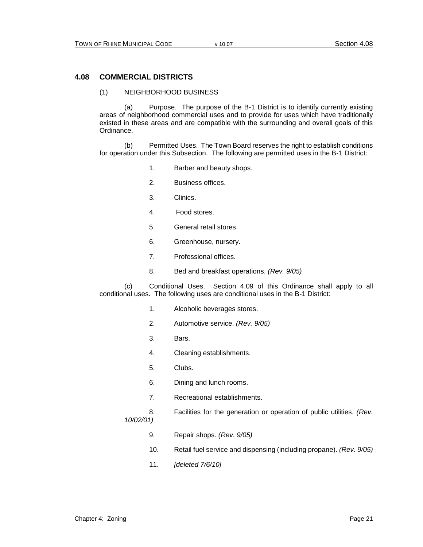#### **4.08 COMMERCIAL DISTRICTS**

#### (1) NEIGHBORHOOD BUSINESS

(a) Purpose. The purpose of the B-1 District is to identify currently existing areas of neighborhood commercial uses and to provide for uses which have traditionally existed in these areas and are compatible with the surrounding and overall goals of this Ordinance.

(b) Permitted Uses. The Town Board reserves the right to establish conditions for operation under this Subsection. The following are permitted uses in the B-1 District:

- 1. Barber and beauty shops.
- 2. Business offices.
- 3. Clinics.
- 4. Food stores.
- 5. General retail stores.
- 6. Greenhouse, nursery.
- 7. Professional offices.
- 8. Bed and breakfast operations. *(Rev. 9/05)*

(c) Conditional Uses. Section 4.09 of this Ordinance shall apply to all conditional uses. The following uses are conditional uses in the B-1 District:

- 1. Alcoholic beverages stores.
- 2. Automotive service. *(Rev. 9/05)*
- 3. Bars.
- 4. Cleaning establishments.
- 5. Clubs.
- 6. Dining and lunch rooms.
- 7. Recreational establishments.
- 8. Facilities for the generation or operation of public utilities. *(Rev.*

*10/02/01)*

- 9. Repair shops. *(Rev. 9/05)*
- 10. Retail fuel service and dispensing (including propane). *(Rev. 9/05)*
- 11. *[deleted 7/6/10]*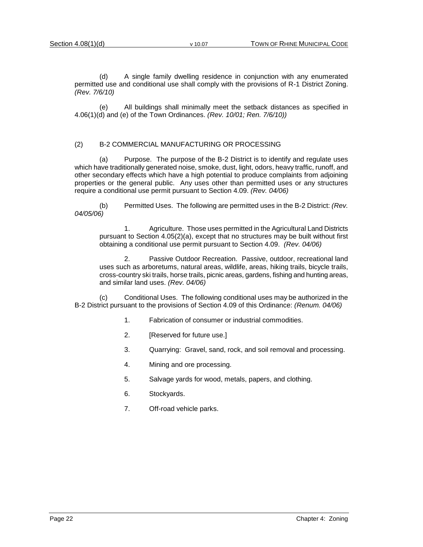(d) A single family dwelling residence in conjunction with any enumerated permitted use and conditional use shall comply with the provisions of R-1 District Zoning. *(Rev. 7/6/10)*

(e) All buildings shall minimally meet the setback distances as specified in 4.06(1)(d) and (e) of the Town Ordinances. *(Rev. 10/01; Ren. 7/6/10))*

#### (2) B-2 COMMERCIAL MANUFACTURING OR PROCESSING

(a) Purpose. The purpose of the B-2 District is to identify and regulate uses which have traditionally generated noise, smoke, dust, light, odors, heavy traffic, runoff, and other secondary effects which have a high potential to produce complaints from adjoining properties or the general public. Any uses other than permitted uses or any structures require a conditional use permit pursuant to Section 4.09. *(Rev. 04/06)*

(b) Permitted Uses. The following are permitted uses in the B-2 District: *(Rev. 04/05/06)*

1. Agriculture. Those uses permitted in the Agricultural Land Districts pursuant to Section 4.05(2)(a), except that no structures may be built without first obtaining a conditional use permit pursuant to Section 4.09. *(Rev. 04/06)*

2. Passive Outdoor Recreation. Passive, outdoor, recreational land uses such as arboretums, natural areas, wildlife, areas, hiking trails, bicycle trails, cross-country ski trails, horse trails, picnic areas, gardens, fishing and hunting areas, and similar land uses. *(Rev. 04/06)*

(c) Conditional Uses. The following conditional uses may be authorized in the B-2 District pursuant to the provisions of Section 4.09 of this Ordinance: *(Renum. 04/06)*

- 1. Fabrication of consumer or industrial commodities.
- 2. [Reserved for future use.]
- 3. Quarrying: Gravel, sand, rock, and soil removal and processing.
- 4. Mining and ore processing.
- 5. Salvage yards for wood, metals, papers, and clothing.
- 6. Stockyards.
- 7. Off-road vehicle parks.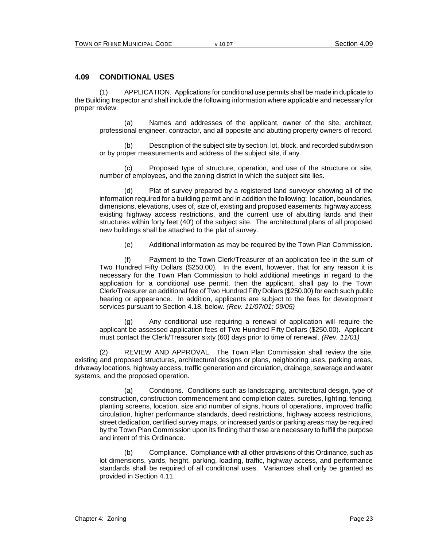#### **4.09 CONDITIONAL USES**

(1) APPLICATION. Applications for conditional use permits shall be made in duplicate to the Building Inspector and shall include the following information where applicable and necessary for proper review:

(a) Names and addresses of the applicant, owner of the site, architect, professional engineer, contractor, and all opposite and abutting property owners of record.

(b) Description of the subject site by section, lot, block, and recorded subdivision or by proper measurements and address of the subject site, if any.

(c) Proposed type of structure, operation, and use of the structure or site, number of employees, and the zoning district in which the subject site lies.

(d) Plat of survey prepared by a registered land surveyor showing all of the information required for a building permit and in addition the following: location, boundaries, dimensions, elevations, uses of, size of, existing and proposed easements, highway access, existing highway access restrictions, and the current use of abutting lands and their structures within forty feet (40') of the subject site. The architectural plans of all proposed new buildings shall be attached to the plat of survey.

(e) Additional information as may be required by the Town Plan Commission.

(f) Payment to the Town Clerk/Treasurer of an application fee in the sum of Two Hundred Fifty Dollars (\$250.00). In the event, however, that for any reason it is necessary for the Town Plan Commission to hold additional meetings in regard to the application for a conditional use permit, then the applicant, shall pay to the Town Clerk/Treasurer an additional fee of Two Hundred Fifty Dollars (\$250.00) for each such public hearing or appearance. In addition, applicants are subject to the fees for development services pursuant to Section 4.18, below. *(Rev. 11/07/01; 09/05)*

(g) Any conditional use requiring a renewal of application will require the applicant be assessed application fees of Two Hundred Fifty Dollars (\$250.00). Applicant must contact the Clerk/Treasurer sixty (60) days prior to time of renewal. *(Rev. 11/01)*

(2) REVIEW AND APPROVAL. The Town Plan Commission shall review the site, existing and proposed structures, architectural designs or plans, neighboring uses, parking areas, driveway locations, highway access, traffic generation and circulation, drainage, sewerage and water systems, and the proposed operation.

(a) Conditions. Conditions such as landscaping, architectural design, type of construction, construction commencement and completion dates, sureties, lighting, fencing, planting screens, location, size and number of signs, hours of operations, improved traffic circulation, higher performance standards, deed restrictions, highway access restrictions, street dedication, certified survey maps, or increased yards or parking areas may be required by the Town Plan Commission upon its finding that these are necessary to fulfill the purpose and intent of this Ordinance.

(b) Compliance. Compliance with all other provisions of this Ordinance, such as lot dimensions, yards, height, parking, loading, traffic, highway access, and performance standards shall be required of all conditional uses. Variances shall only be granted as provided in Section 4.11.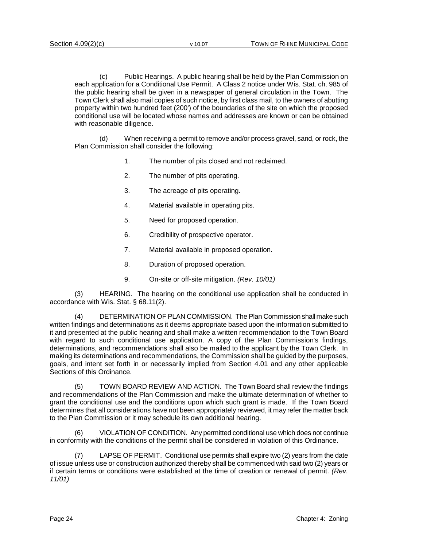(c) Public Hearings. A public hearing shall be held by the Plan Commission on each application for a Conditional Use Permit. A Class 2 notice under Wis. Stat. ch. 985 of the public hearing shall be given in a newspaper of general circulation in the Town. The Town Clerk shall also mail copies of such notice, by first class mail, to the owners of abutting property within two hundred feet (200') of the boundaries of the site on which the proposed conditional use will be located whose names and addresses are known or can be obtained with reasonable diligence.

(d) When receiving a permit to remove and/or process gravel, sand, or rock, the Plan Commission shall consider the following:

- 1. The number of pits closed and not reclaimed.
- 2. The number of pits operating.
- 3. The acreage of pits operating.
- 4. Material available in operating pits.
- 5. Need for proposed operation.
- 6. Credibility of prospective operator.
- 7. Material available in proposed operation.
- 8. Duration of proposed operation.
- 9. On-site or off-site mitigation. *(Rev. 10/01)*

(3) HEARING. The hearing on the conditional use application shall be conducted in accordance with Wis. Stat. § 68.11(2).

(4) DETERMINATION OF PLAN COMMISSION. The Plan Commission shall make such written findings and determinations as it deems appropriate based upon the information submitted to it and presented at the public hearing and shall make a written recommendation to the Town Board with regard to such conditional use application. A copy of the Plan Commission's findings, determinations, and recommendations shall also be mailed to the applicant by the Town Clerk. In making its determinations and recommendations, the Commission shall be guided by the purposes, goals, and intent set forth in or necessarily implied from Section 4.01 and any other applicable Sections of this Ordinance.

(5) TOWN BOARD REVIEW AND ACTION. The Town Board shall review the findings and recommendations of the Plan Commission and make the ultimate determination of whether to grant the conditional use and the conditions upon which such grant is made. If the Town Board determines that all considerations have not been appropriately reviewed, it may refer the matter back to the Plan Commission or it may schedule its own additional hearing.

(6) VIOLATION OF CONDITION. Any permitted conditional use which does not continue in conformity with the conditions of the permit shall be considered in violation of this Ordinance.

(7) LAPSE OF PERMIT. Conditional use permits shall expire two (2) years from the date of issue unless use or construction authorized thereby shall be commenced with said two (2) years or if certain terms or conditions were established at the time of creation or renewal of permit. *(Rev. 11/01)*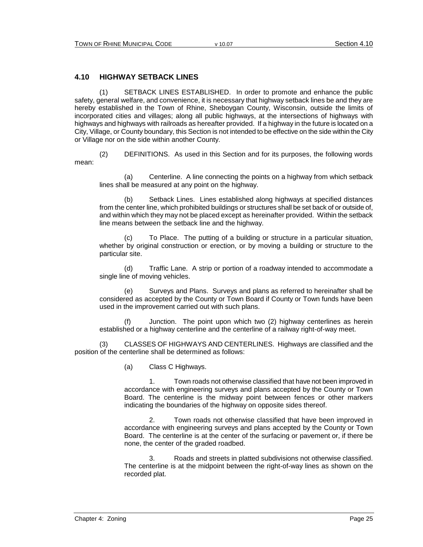#### **4.10 HIGHWAY SETBACK LINES**

(1) SETBACK LINES ESTABLISHED. In order to promote and enhance the public safety, general welfare, and convenience, it is necessary that highway setback lines be and they are hereby established in the Town of Rhine, Sheboygan County, Wisconsin, outside the limits of incorporated cities and villages; along all public highways, at the intersections of highways with highways and highways with railroads as hereafter provided. If a highway in the future is located on a City, Village, or County boundary, this Section is not intended to be effective on the side within the City or Village nor on the side within another County.

(2) DEFINITIONS. As used in this Section and for its purposes, the following words mean:

(a) Centerline. A line connecting the points on a highway from which setback lines shall be measured at any point on the highway.

(b) Setback Lines. Lines established along highways at specified distances from the center line, which prohibited buildings or structures shall be set back of or outside of, and within which they may not be placed except as hereinafter provided. Within the setback line means between the setback line and the highway.

(c) To Place. The putting of a building or structure in a particular situation, whether by original construction or erection, or by moving a building or structure to the particular site.

(d) Traffic Lane. A strip or portion of a roadway intended to accommodate a single line of moving vehicles.

(e) Surveys and Plans. Surveys and plans as referred to hereinafter shall be considered as accepted by the County or Town Board if County or Town funds have been used in the improvement carried out with such plans.

(f) Junction. The point upon which two (2) highway centerlines as herein established or a highway centerline and the centerline of a railway right-of-way meet.

(3) CLASSES OF HIGHWAYS AND CENTERLINES. Highways are classified and the position of the centerline shall be determined as follows:

(a) Class C Highways.

1. Town roads not otherwise classified that have not been improved in accordance with engineering surveys and plans accepted by the County or Town Board. The centerline is the midway point between fences or other markers indicating the boundaries of the highway on opposite sides thereof.

2. Town roads not otherwise classified that have been improved in accordance with engineering surveys and plans accepted by the County or Town Board. The centerline is at the center of the surfacing or pavement or, if there be none, the center of the graded roadbed.

3. Roads and streets in platted subdivisions not otherwise classified. The centerline is at the midpoint between the right-of-way lines as shown on the recorded plat.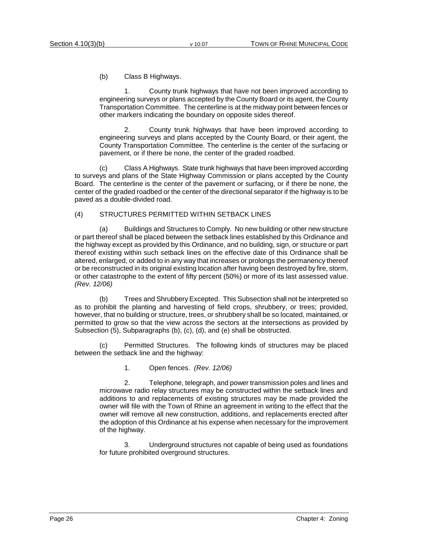(b) Class B Highways.

1. County trunk highways that have not been improved according to engineering surveys or plans accepted by the County Board or its agent, the County Transportation Committee. The centerline is at the midway point between fences or other markers indicating the boundary on opposite sides thereof.

2. County trunk highways that have been improved according to engineering surveys and plans accepted by the County Board, or their agent, the County Transportation Committee. The centerline is the center of the surfacing or pavement, or if there be none, the center of the graded roadbed.

(c) Class A Highways. State trunk highways that have been improved according to surveys and plans of the State Highway Commission or plans accepted by the County Board. The centerline is the center of the pavement or surfacing, or if there be none, the center of the graded roadbed or the center of the directional separator if the highway is to be paved as a double-divided road.

#### (4) STRUCTURES PERMITTED WITHIN SETBACK LINES

(a) Buildings and Structures to Comply. No new building or other new structure or part thereof shall be placed between the setback lines established by this Ordinance and the highway except as provided by this Ordinance, and no building, sign, or structure or part thereof existing within such setback lines on the effective date of this Ordinance shall be altered, enlarged, or added to in any way that increases or prolongs the permanency thereof or be reconstructed in its original existing location after having been destroyed by fire, storm, or other catastrophe to the extent of fifty percent (50%) or more of its last assessed value. *(Rev. 12/06)*

(b) Trees and Shrubbery Excepted. This Subsection shall not be interpreted so as to prohibit the planting and harvesting of field crops, shrubbery, or trees; provided, however, that no building or structure, trees, or shrubbery shall be so located, maintained, or permitted to grow so that the view across the sectors at the intersections as provided by Subsection (5), Subparagraphs (b), (c), (d), and (e) shall be obstructed.

(c) Permitted Structures. The following kinds of structures may be placed between the setback line and the highway:

1. Open fences. *(Rev. 12/06)*

2. Telephone, telegraph, and power transmission poles and lines and microwave radio relay structures may be constructed within the setback lines and additions to and replacements of existing structures may be made provided the owner will file with the Town of Rhine an agreement in writing to the effect that the owner will remove all new construction, additions, and replacements erected after the adoption of this Ordinance at his expense when necessary for the improvement of the highway.

3. Underground structures not capable of being used as foundations for future prohibited overground structures.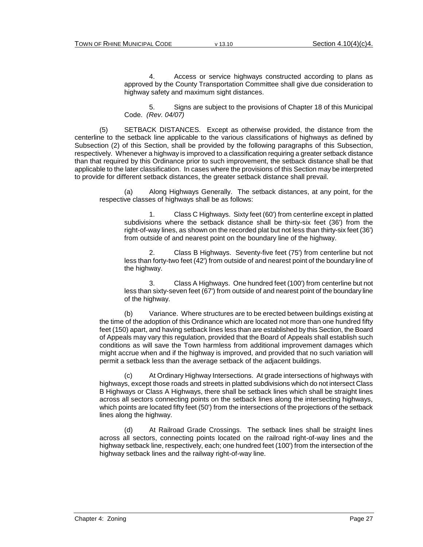4. Access or service highways constructed according to plans as approved by the County Transportation Committee shall give due consideration to highway safety and maximum sight distances.

5. Signs are subject to the provisions of Chapter 18 of this Municipal Code. *(Rev. 04/07)*

(5) SETBACK DISTANCES. Except as otherwise provided, the distance from the centerline to the setback line applicable to the various classifications of highways as defined by Subsection (2) of this Section, shall be provided by the following paragraphs of this Subsection, respectively. Whenever a highway is improved to a classification requiring a greater setback distance than that required by this Ordinance prior to such improvement, the setback distance shall be that applicable to the later classification. In cases where the provisions of this Section may be interpreted to provide for different setback distances, the greater setback distance shall prevail.

(a) Along Highways Generally. The setback distances, at any point, for the respective classes of highways shall be as follows:

1. Class C Highways. Sixty feet (60') from centerline except in platted subdivisions where the setback distance shall be thirty-six feet (36') from the right-of-way lines, as shown on the recorded plat but not less than thirty-six feet (36') from outside of and nearest point on the boundary line of the highway.

2. Class B Highways. Seventy-five feet (75') from centerline but not less than forty-two feet (42') from outside of and nearest point of the boundary line of the highway.

3. Class A Highways. One hundred feet (100') from centerline but not less than sixty-seven feet (67') from outside of and nearest point of the boundary line of the highway.

(b) Variance. Where structures are to be erected between buildings existing at the time of the adoption of this Ordinance which are located not more than one hundred fifty feet (150) apart, and having setback lines less than are established by this Section, the Board of Appeals may vary this regulation, provided that the Board of Appeals shall establish such conditions as will save the Town harmless from additional improvement damages which might accrue when and if the highway is improved, and provided that no such variation will permit a setback less than the average setback of the adjacent buildings.

(c) At Ordinary Highway Intersections. At grade intersections of highways with highways, except those roads and streets in platted subdivisions which do not intersect Class B Highways or Class A Highways, there shall be setback lines which shall be straight lines across all sectors connecting points on the setback lines along the intersecting highways, which points are located fifty feet (50') from the intersections of the projections of the setback lines along the highway.

(d) At Railroad Grade Crossings. The setback lines shall be straight lines across all sectors, connecting points located on the railroad right-of-way lines and the highway setback line, respectively, each; one hundred feet (100') from the intersection of the highway setback lines and the railway right-of-way line.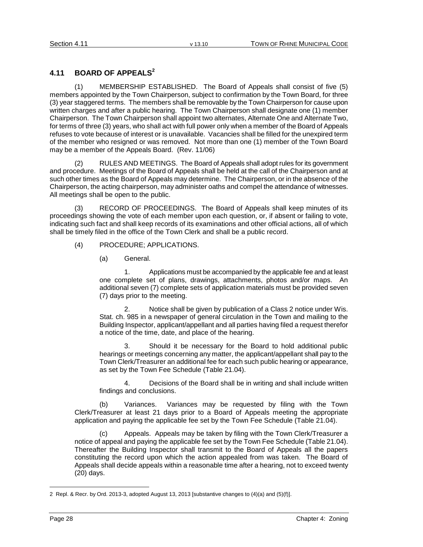# **4.11 BOARD OF APPEALS<sup>2</sup>**

(1) MEMBERSHIP ESTABLISHED. The Board of Appeals shall consist of five (5) members appointed by the Town Chairperson, subject to confirmation by the Town Board, for three (3) year staggered terms. The members shall be removable by the Town Chairperson for cause upon written charges and after a public hearing. The Town Chairperson shall designate one (1) member Chairperson. The Town Chairperson shall appoint two alternates, Alternate One and Alternate Two, for terms of three (3) years, who shall act with full power only when a member of the Board of Appeals refuses to vote because of interest or is unavailable. Vacancies shall be filled for the unexpired term of the member who resigned or was removed. Not more than one (1) member of the Town Board may be a member of the Appeals Board. (Rev. 11/06)

(2) RULES AND MEETINGS. The Board of Appeals shall adopt rules for its government and procedure. Meetings of the Board of Appeals shall be held at the call of the Chairperson and at such other times as the Board of Appeals may determine. The Chairperson, or in the absence of the Chairperson, the acting chairperson, may administer oaths and compel the attendance of witnesses. All meetings shall be open to the public.

(3) RECORD OF PROCEEDINGS. The Board of Appeals shall keep minutes of its proceedings showing the vote of each member upon each question, or, if absent or failing to vote, indicating such fact and shall keep records of its examinations and other official actions, all of which shall be timely filed in the office of the Town Clerk and shall be a public record.

- (4) PROCEDURE; APPLICATIONS.
	- (a) General.

1. Applications must be accompanied by the applicable fee and at least one complete set of plans, drawings, attachments, photos and/or maps. An additional seven (7) complete sets of application materials must be provided seven (7) days prior to the meeting.

2. Notice shall be given by publication of a Class 2 notice under Wis. Stat. ch. 985 in a newspaper of general circulation in the Town and mailing to the Building Inspector, applicant/appellant and all parties having filed a request therefor a notice of the time, date, and place of the hearing.

Should it be necessary for the Board to hold additional public hearings or meetings concerning any matter, the applicant/appellant shall pay to the Town Clerk/Treasurer an additional fee for each such public hearing or appearance, as set by the Town Fee Schedule (Table 21.04).

4. Decisions of the Board shall be in writing and shall include written findings and conclusions.

(b) Variances. Variances may be requested by filing with the Town Clerk/Treasurer at least 21 days prior to a Board of Appeals meeting the appropriate application and paying the applicable fee set by the Town Fee Schedule (Table 21.04).

Appeals. Appeals may be taken by filing with the Town Clerk/Treasurer a notice of appeal and paying the applicable fee set by the Town Fee Schedule (Table 21.04). Thereafter the Building Inspector shall transmit to the Board of Appeals all the papers constituting the record upon which the action appealed from was taken. The Board of Appeals shall decide appeals within a reasonable time after a hearing, not to exceed twenty (20) days.

 $\overline{a}$ 2 Repl. & Recr. by Ord. 2013-3, adopted August 13, 2013 [substantive changes to (4)(a) and (5)(f)].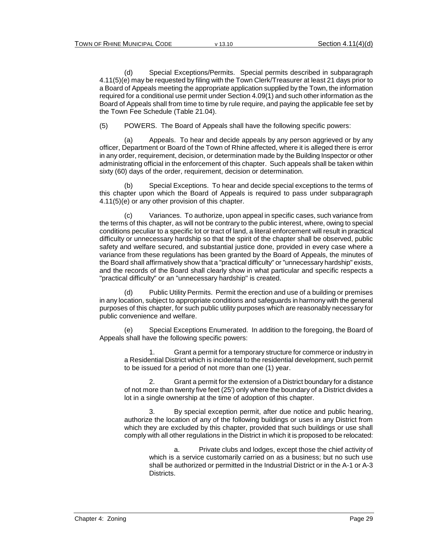(d) Special Exceptions/Permits. Special permits described in subparagraph 4.11(5)(e) may be requested by filing with the Town Clerk/Treasurer at least 21 days prior to a Board of Appeals meeting the appropriate application supplied by the Town, the information required for a conditional use permit under Section 4.09(1) and such other information as the Board of Appeals shall from time to time by rule require, and paying the applicable fee set by the Town Fee Schedule (Table 21.04).

(5) POWERS. The Board of Appeals shall have the following specific powers:

(a) Appeals. To hear and decide appeals by any person aggrieved or by any officer, Department or Board of the Town of Rhine affected, where it is alleged there is error in any order, requirement, decision, or determination made by the Building Inspector or other administrating official in the enforcement of this chapter. Such appeals shall be taken within sixty (60) days of the order, requirement, decision or determination.

Special Exceptions. To hear and decide special exceptions to the terms of this chapter upon which the Board of Appeals is required to pass under subparagraph 4.11(5)(e) or any other provision of this chapter.

(c) Variances. To authorize, upon appeal in specific cases, such variance from the terms of this chapter, as will not be contrary to the public interest, where, owing to special conditions peculiar to a specific lot or tract of land, a literal enforcement will result in practical difficulty or unnecessary hardship so that the spirit of the chapter shall be observed, public safety and welfare secured, and substantial justice done, provided in every case where a variance from these regulations has been granted by the Board of Appeals, the minutes of the Board shall affirmatively show that a "practical difficulty" or "unnecessary hardship" exists, and the records of the Board shall clearly show in what particular and specific respects a "practical difficulty" or an "unnecessary hardship" is created.

(d) Public Utility Permits. Permit the erection and use of a building or premises in any location, subject to appropriate conditions and safeguards in harmony with the general purposes of this chapter, for such public utility purposes which are reasonably necessary for public convenience and welfare.

(e) Special Exceptions Enumerated. In addition to the foregoing, the Board of Appeals shall have the following specific powers:

1. Grant a permit for a temporary structure for commerce or industry in a Residential District which is incidental to the residential development, such permit to be issued for a period of not more than one (1) year.

2. Grant a permit for the extension of a District boundary for a distance of not more than twenty five feet (25') only where the boundary of a District divides a lot in a single ownership at the time of adoption of this chapter.

3. By special exception permit, after due notice and public hearing, authorize the location of any of the following buildings or uses in any District from which they are excluded by this chapter, provided that such buildings or use shall comply with all other regulations in the District in which it is proposed to be relocated:

a. Private clubs and lodges, except those the chief activity of which is a service customarily carried on as a business; but no such use shall be authorized or permitted in the Industrial District or in the A-1 or A-3 Districts.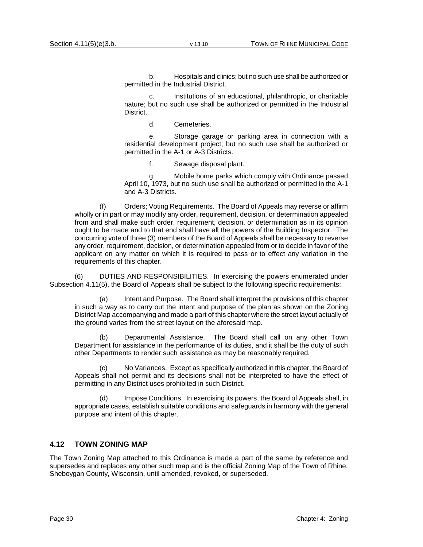b. Hospitals and clinics; but no such use shall be authorized or permitted in the Industrial District.

c. Institutions of an educational, philanthropic, or charitable nature; but no such use shall be authorized or permitted in the Industrial District.

d. Cemeteries.

e. Storage garage or parking area in connection with a residential development project; but no such use shall be authorized or permitted in the A-1 or A-3 Districts.

f. Sewage disposal plant.

g. Mobile home parks which comply with Ordinance passed April 10, 1973, but no such use shall be authorized or permitted in the A-1 and A-3 Districts.

(f) Orders; Voting Requirements. The Board of Appeals may reverse or affirm wholly or in part or may modify any order, requirement, decision, or determination appealed from and shall make such order, requirement, decision, or determination as in its opinion ought to be made and to that end shall have all the powers of the Building Inspector. The concurring vote of three (3) members of the Board of Appeals shall be necessary to reverse any order, requirement, decision, or determination appealed from or to decide in favor of the applicant on any matter on which it is required to pass or to effect any variation in the requirements of this chapter.

(6) DUTIES AND RESPONSIBILITIES. In exercising the powers enumerated under Subsection 4.11(5), the Board of Appeals shall be subject to the following specific requirements:

(a) Intent and Purpose. The Board shall interpret the provisions of this chapter in such a way as to carry out the intent and purpose of the plan as shown on the Zoning District Map accompanying and made a part of this chapter where the street layout actually of the ground varies from the street layout on the aforesaid map.

(b) Departmental Assistance. The Board shall call on any other Town Department for assistance in the performance of its duties, and it shall be the duty of such other Departments to render such assistance as may be reasonably required.

(c) No Variances. Except as specifically authorized in this chapter, the Board of Appeals shall not permit and its decisions shall not be interpreted to have the effect of permitting in any District uses prohibited in such District.

(d) Impose Conditions. In exercising its powers, the Board of Appeals shall, in appropriate cases, establish suitable conditions and safeguards in harmony with the general purpose and intent of this chapter.

### **4.12 TOWN ZONING MAP**

The Town Zoning Map attached to this Ordinance is made a part of the same by reference and supersedes and replaces any other such map and is the official Zoning Map of the Town of Rhine, Sheboygan County, Wisconsin, until amended, revoked, or superseded.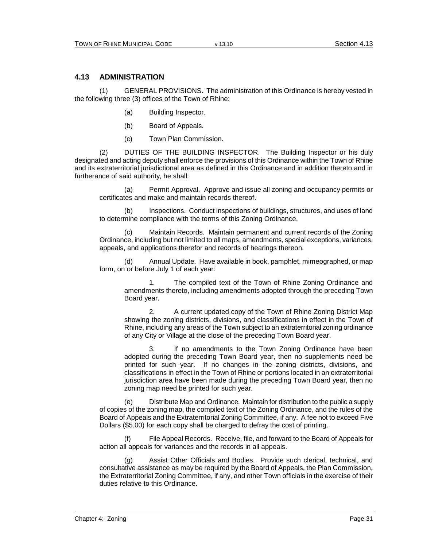#### **4.13 ADMINISTRATION**

(1) GENERAL PROVISIONS. The administration of this Ordinance is hereby vested in the following three (3) offices of the Town of Rhine:

- (a) Building Inspector.
- (b) Board of Appeals.
- (c) Town Plan Commission.

(2) DUTIES OF THE BUILDING INSPECTOR. The Building Inspector or his duly designated and acting deputy shall enforce the provisions of this Ordinance within the Town of Rhine and its extraterritorial jurisdictional area as defined in this Ordinance and in addition thereto and in furtherance of said authority, he shall:

(a) Permit Approval. Approve and issue all zoning and occupancy permits or certificates and make and maintain records thereof.

(b) Inspections. Conduct inspections of buildings, structures, and uses of land to determine compliance with the terms of this Zoning Ordinance.

(c) Maintain Records. Maintain permanent and current records of the Zoning Ordinance, including but not limited to all maps, amendments, special exceptions, variances, appeals, and applications therefor and records of hearings thereon.

(d) Annual Update. Have available in book, pamphlet, mimeographed, or map form, on or before July 1 of each year:

1. The compiled text of the Town of Rhine Zoning Ordinance and amendments thereto, including amendments adopted through the preceding Town Board year.

2. A current updated copy of the Town of Rhine Zoning District Map showing the zoning districts, divisions, and classifications in effect in the Town of Rhine, including any areas of the Town subject to an extraterritorial zoning ordinance of any City or Village at the close of the preceding Town Board year.

3. If no amendments to the Town Zoning Ordinance have been adopted during the preceding Town Board year, then no supplements need be printed for such year. If no changes in the zoning districts, divisions, and classifications in effect in the Town of Rhine or portions located in an extraterritorial jurisdiction area have been made during the preceding Town Board year, then no zoning map need be printed for such year.

(e) Distribute Map and Ordinance. Maintain for distribution to the public a supply of copies of the zoning map, the compiled text of the Zoning Ordinance, and the rules of the Board of Appeals and the Extraterritorial Zoning Committee, if any. A fee not to exceed Five Dollars (\$5.00) for each copy shall be charged to defray the cost of printing.

File Appeal Records. Receive, file, and forward to the Board of Appeals for action all appeals for variances and the records in all appeals.

(g) Assist Other Officials and Bodies. Provide such clerical, technical, and consultative assistance as may be required by the Board of Appeals, the Plan Commission, the Extraterritorial Zoning Committee, if any, and other Town officials in the exercise of their duties relative to this Ordinance.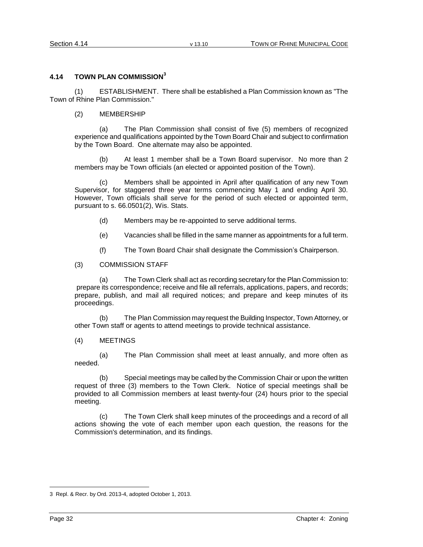#### **4.14 TOWN PLAN COMMISSION<sup>3</sup>**

(1) ESTABLISHMENT. There shall be established a Plan Commission known as "The Town of Rhine Plan Commission."

#### (2) MEMBERSHIP

(a) The Plan Commission shall consist of five (5) members of recognized experience and qualifications appointed by the Town Board Chair and subject to confirmation by the Town Board. One alternate may also be appointed.

(b) At least 1 member shall be a Town Board supervisor. No more than 2 members may be Town officials (an elected or appointed position of the Town).

(c) Members shall be appointed in April after qualification of any new Town Supervisor, for staggered three year terms commencing May 1 and ending April 30. However, Town officials shall serve for the period of such elected or appointed term, pursuant to s. 66.0501(2), Wis. Stats.

- (d) Members may be re-appointed to serve additional terms.
- (e) Vacancies shall be filled in the same manner as appointments for a full term.
- (f) The Town Board Chair shall designate the Commission's Chairperson.

#### (3) COMMISSION STAFF

(a) The Town Clerk shall act as recording secretary for the Plan Commission to: prepare its correspondence; receive and file all referrals, applications, papers, and records; prepare, publish, and mail all required notices; and prepare and keep minutes of its proceedings.

(b) The Plan Commission may request the Building Inspector, Town Attorney, or other Town staff or agents to attend meetings to provide technical assistance.

(4) MEETINGS

(a) The Plan Commission shall meet at least annually, and more often as needed.

(b) Special meetings may be called by the Commission Chair or upon the written request of three (3) members to the Town Clerk. Notice of special meetings shall be provided to all Commission members at least twenty-four (24) hours prior to the special meeting.

(c) The Town Clerk shall keep minutes of the proceedings and a record of all actions showing the vote of each member upon each question, the reasons for the Commission's determination, and its findings.

 $\overline{a}$ 

<sup>3</sup> Repl. & Recr. by Ord. 2013-4, adopted October 1, 2013.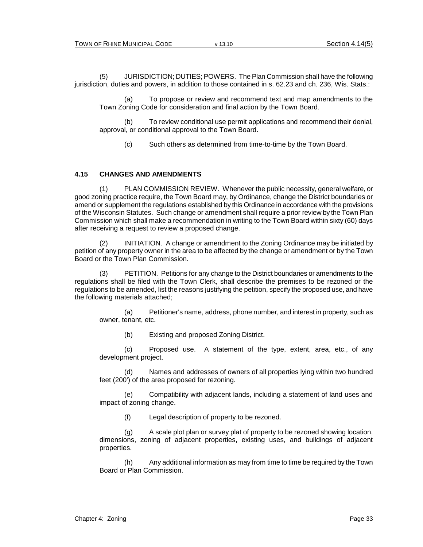(5) JURISDICTION; DUTIES; POWERS. The Plan Commission shall have the following jurisdiction, duties and powers, in addition to those contained in s. 62.23 and ch. 236, Wis. Stats.:

(a) To propose or review and recommend text and map amendments to the Town Zoning Code for consideration and final action by the Town Board.

(b) To review conditional use permit applications and recommend their denial, approval, or conditional approval to the Town Board.

(c) Such others as determined from time-to-time by the Town Board.

#### **4.15 CHANGES AND AMENDMENTS**

(1) PLAN COMMISSION REVIEW. Whenever the public necessity, general welfare, or good zoning practice require, the Town Board may, by Ordinance, change the District boundaries or amend or supplement the regulations established by this Ordinance in accordance with the provisions of the Wisconsin Statutes. Such change or amendment shall require a prior review by the Town Plan Commission which shall make a recommendation in writing to the Town Board within sixty (60) days after receiving a request to review a proposed change.

INITIATION. A change or amendment to the Zoning Ordinance may be initiated by petition of any property owner in the area to be affected by the change or amendment or by the Town Board or the Town Plan Commission.

PETITION. Petitions for any change to the District boundaries or amendments to the regulations shall be filed with the Town Clerk, shall describe the premises to be rezoned or the regulations to be amended, list the reasons justifying the petition, specify the proposed use, and have the following materials attached;

(a) Petitioner's name, address, phone number, and interest in property, such as owner, tenant, etc.

(b) Existing and proposed Zoning District.

(c) Proposed use. A statement of the type, extent, area, etc., of any development project.

(d) Names and addresses of owners of all properties lying within two hundred feet (200') of the area proposed for rezoning.

(e) Compatibility with adjacent lands, including a statement of land uses and impact of zoning change.

(f) Legal description of property to be rezoned.

(g) A scale plot plan or survey plat of property to be rezoned showing location, dimensions, zoning of adjacent properties, existing uses, and buildings of adjacent properties.

(h) Any additional information as may from time to time be required by the Town Board or Plan Commission.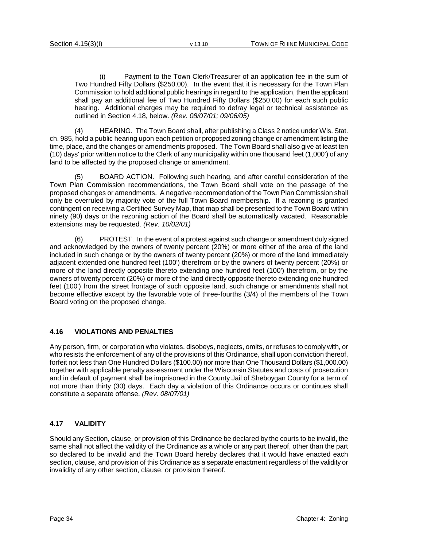(i) Payment to the Town Clerk/Treasurer of an application fee in the sum of Two Hundred Fifty Dollars (\$250.00). In the event that it is necessary for the Town Plan Commission to hold additional public hearings in regard to the application, then the applicant shall pay an additional fee of Two Hundred Fifty Dollars (\$250.00) for each such public hearing. Additional charges may be required to defray legal or technical assistance as outlined in Section 4.18, below. *(Rev. 08/07/01; 09/06/05)*

(4) HEARING. The Town Board shall, after publishing a Class 2 notice under Wis. Stat. ch. 985, hold a public hearing upon each petition or proposed zoning change or amendment listing the time, place, and the changes or amendments proposed. The Town Board shall also give at least ten (10) days' prior written notice to the Clerk of any municipality within one thousand feet (1,000') of any land to be affected by the proposed change or amendment.

(5) BOARD ACTION. Following such hearing, and after careful consideration of the Town Plan Commission recommendations, the Town Board shall vote on the passage of the proposed changes or amendments. A negative recommendation of the Town Plan Commission shall only be overruled by majority vote of the full Town Board membership. If a rezoning is granted contingent on receiving a Certified Survey Map, that map shall be presented to the Town Board within ninety (90) days or the rezoning action of the Board shall be automatically vacated. Reasonable extensions may be requested. *(Rev. 10/02/01)*

(6) PROTEST. In the event of a protest against such change or amendment duly signed and acknowledged by the owners of twenty percent (20%) or more either of the area of the land included in such change or by the owners of twenty percent (20%) or more of the land immediately adjacent extended one hundred feet (100') therefrom or by the owners of twenty percent (20%) or more of the land directly opposite thereto extending one hundred feet (100') therefrom, or by the owners of twenty percent (20%) or more of the land directly opposite thereto extending one hundred feet (100') from the street frontage of such opposite land, such change or amendments shall not become effective except by the favorable vote of three-fourths (3/4) of the members of the Town Board voting on the proposed change.

#### **4.16 VIOLATIONS AND PENALTIES**

Any person, firm, or corporation who violates, disobeys, neglects, omits, or refuses to comply with, or who resists the enforcement of any of the provisions of this Ordinance, shall upon conviction thereof, forfeit not less than One Hundred Dollars (\$100.00) nor more than One Thousand Dollars (\$1,000.00) together with applicable penalty assessment under the Wisconsin Statutes and costs of prosecution and in default of payment shall be imprisoned in the County Jail of Sheboygan County for a term of not more than thirty (30) days. Each day a violation of this Ordinance occurs or continues shall constitute a separate offense. *(Rev. 08/07/01)*

## **4.17 VALIDITY**

Should any Section, clause, or provision of this Ordinance be declared by the courts to be invalid, the same shall not affect the validity of the Ordinance as a whole or any part thereof, other than the part so declared to be invalid and the Town Board hereby declares that it would have enacted each section, clause, and provision of this Ordinance as a separate enactment regardless of the validity or invalidity of any other section, clause, or provision thereof.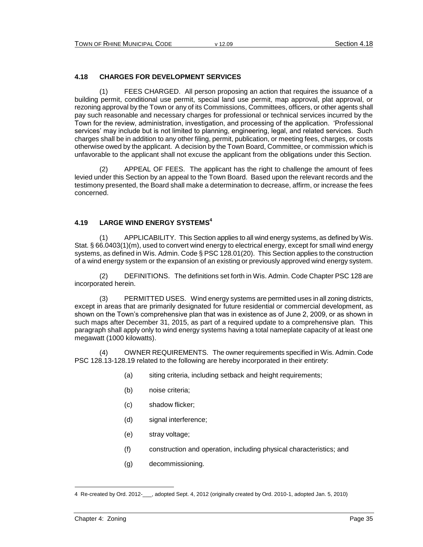#### **4.18 CHARGES FOR DEVELOPMENT SERVICES**

(1) FEES CHARGED. All person proposing an action that requires the issuance of a building permit, conditional use permit, special land use permit, map approval, plat approval, or rezoning approval by the Town or any of its Commissions, Committees, officers, or other agents shall pay such reasonable and necessary charges for professional or technical services incurred by the Town for the review, administration, investigation, and processing of the application. 'Professional services' may include but is not limited to planning, engineering, legal, and related services. Such charges shall be in addition to any other filing, permit, publication, or meeting fees, charges, or costs otherwise owed by the applicant. A decision by the Town Board, Committee, or commission which is unfavorable to the applicant shall not excuse the applicant from the obligations under this Section.

(2) APPEAL OF FEES. The applicant has the right to challenge the amount of fees levied under this Section by an appeal to the Town Board. Based upon the relevant records and the testimony presented, the Board shall make a determination to decrease, affirm, or increase the fees concerned.

#### **4.19 LARGE WIND ENERGY SYSTEMS<sup>4</sup>**

(1) APPLICABILITY. This Section applies to all wind energy systems, as defined by Wis. Stat. § 66.0403(1)(m), used to convert wind energy to electrical energy, except for small wind energy systems, as defined in Wis. Admin. Code § PSC 128.01(20). This Section applies to the construction of a wind energy system or the expansion of an existing or previously approved wind energy system.

(2) DEFINITIONS. The definitions set forth in Wis. Admin. Code Chapter PSC 128 are incorporated herein.

(3) PERMITTED USES. Wind energy systems are permitted uses in all zoning districts, except in areas that are primarily designated for future residential or commercial development, as shown on the Town's comprehensive plan that was in existence as of June 2, 2009, or as shown in such maps after December 31, 2015, as part of a required update to a comprehensive plan. This paragraph shall apply only to wind energy systems having a total nameplate capacity of at least one megawatt (1000 kilowatts).

(4) OWNER REQUIREMENTS. The owner requirements specified in Wis. Admin. Code PSC 128.13-128.19 related to the following are hereby incorporated in their entirety:

- (a) siting criteria, including setback and height requirements;
- (b) noise criteria;
- (c) shadow flicker;
- (d) signal interference;
- (e) stray voltage;
- (f) construction and operation, including physical characteristics; and
- (g) decommissioning.

 $\overline{a}$ 

<sup>4</sup> Re-created by Ord. 2012-\_\_\_, adopted Sept. 4, 2012 (originally created by Ord. 2010-1, adopted Jan. 5, 2010)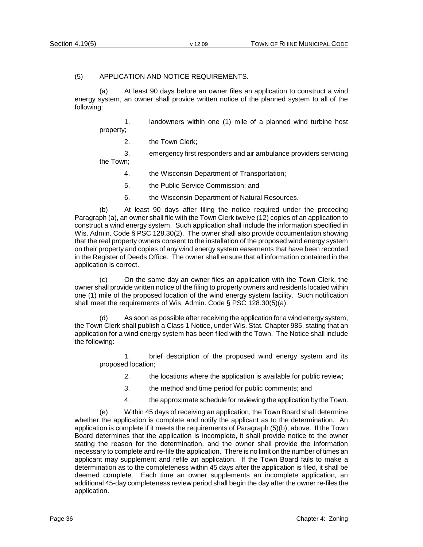#### (5) APPLICATION AND NOTICE REQUIREMENTS.

(a) At least 90 days before an owner files an application to construct a wind energy system, an owner shall provide written notice of the planned system to all of the following:

1. landowners within one (1) mile of a planned wind turbine host property;

2. the Town Clerk;

3. emergency first responders and air ambulance providers servicing the Town;

4. the Wisconsin Department of Transportation;

- 5. the Public Service Commission; and
- 6. the Wisconsin Department of Natural Resources.

(b) At least 90 days after filing the notice required under the preceding Paragraph (a), an owner shall file with the Town Clerk twelve (12) copies of an application to construct a wind energy system. Such application shall include the information specified in Wis. Admin. Code § PSC 128.30(2). The owner shall also provide documentation showing that the real property owners consent to the installation of the proposed wind energy system on their property and copies of any wind energy system easements that have been recorded in the Register of Deeds Office. The owner shall ensure that all information contained in the application is correct.

(c) On the same day an owner files an application with the Town Clerk, the owner shall provide written notice of the filing to property owners and residents located within one (1) mile of the proposed location of the wind energy system facility. Such notification shall meet the requirements of Wis. Admin. Code § PSC 128.30(5)(a).

As soon as possible after receiving the application for a wind energy system, the Town Clerk shall publish a Class 1 Notice, under Wis. Stat. Chapter 985, stating that an application for a wind energy system has been filed with the Town. The Notice shall include the following:

1. brief description of the proposed wind energy system and its proposed location;

- 2. the locations where the application is available for public review;
- 3. the method and time period for public comments; and
- 4. the approximate schedule for reviewing the application by the Town.

(e) Within 45 days of receiving an application, the Town Board shall determine whether the application is complete and notify the applicant as to the determination. An application is complete if it meets the requirements of Paragraph (5)(b), above. If the Town Board determines that the application is incomplete, it shall provide notice to the owner stating the reason for the determination, and the owner shall provide the information necessary to complete and re-file the application. There is no limit on the number of times an applicant may supplement and refile an application. If the Town Board fails to make a determination as to the completeness within 45 days after the application is filed, it shall be deemed complete. Each time an owner supplements an incomplete application, an additional 45-day completeness review period shall begin the day after the owner re-files the application.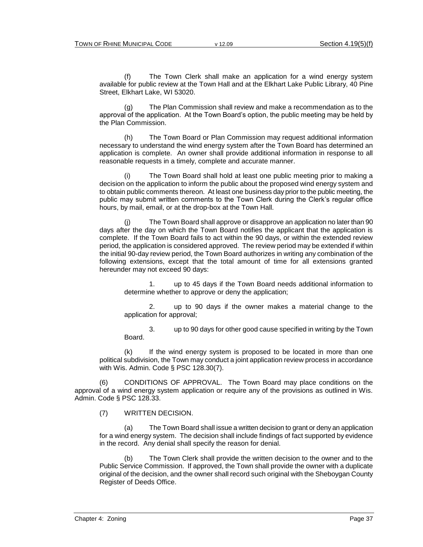(f) The Town Clerk shall make an application for a wind energy system available for public review at the Town Hall and at the Elkhart Lake Public Library, 40 Pine Street, Elkhart Lake, WI 53020.

(g) The Plan Commission shall review and make a recommendation as to the approval of the application. At the Town Board's option, the public meeting may be held by the Plan Commission.

(h) The Town Board or Plan Commission may request additional information necessary to understand the wind energy system after the Town Board has determined an application is complete. An owner shall provide additional information in response to all reasonable requests in a timely, complete and accurate manner.

(i) The Town Board shall hold at least one public meeting prior to making a decision on the application to inform the public about the proposed wind energy system and to obtain public comments thereon. At least one business day prior to the public meeting, the public may submit written comments to the Town Clerk during the Clerk's regular office hours, by mail, email, or at the drop-box at the Town Hall.

(j) The Town Board shall approve or disapprove an application no later than 90 days after the day on which the Town Board notifies the applicant that the application is complete. If the Town Board fails to act within the 90 days, or within the extended review period, the application is considered approved. The review period may be extended if within the initial 90-day review period, the Town Board authorizes in writing any combination of the following extensions, except that the total amount of time for all extensions granted hereunder may not exceed 90 days:

1. up to 45 days if the Town Board needs additional information to determine whether to approve or deny the application;

2. up to 90 days if the owner makes a material change to the application for approval;

3. up to 90 days for other good cause specified in writing by the Town Board.

(k) If the wind energy system is proposed to be located in more than one political subdivision, the Town may conduct a joint application review process in accordance with Wis. Admin. Code § PSC 128.30(7).

(6) CONDITIONS OF APPROVAL. The Town Board may place conditions on the approval of a wind energy system application or require any of the provisions as outlined in Wis. Admin. Code § PSC 128.33.

(7) WRITTEN DECISION.

(a) The Town Board shall issue a written decision to grant or deny an application for a wind energy system. The decision shall include findings of fact supported by evidence in the record. Any denial shall specify the reason for denial.

(b) The Town Clerk shall provide the written decision to the owner and to the Public Service Commission. If approved, the Town shall provide the owner with a duplicate original of the decision, and the owner shall record such original with the Sheboygan County Register of Deeds Office.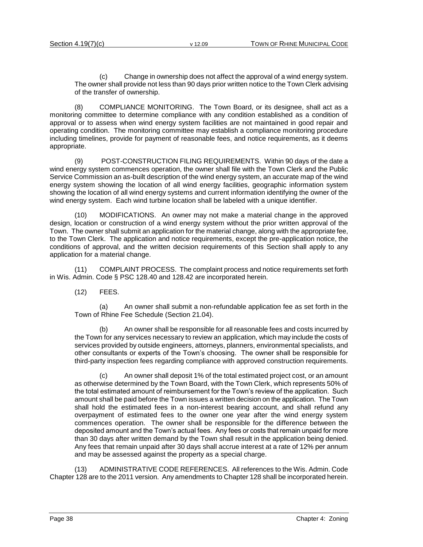(c) Change in ownership does not affect the approval of a wind energy system. The owner shall provide not less than 90 days prior written notice to the Town Clerk advising of the transfer of ownership.

(8) COMPLIANCE MONITORING. The Town Board, or its designee, shall act as a monitoring committee to determine compliance with any condition established as a condition of approval or to assess when wind energy system facilities are not maintained in good repair and operating condition. The monitoring committee may establish a compliance monitoring procedure including timelines, provide for payment of reasonable fees, and notice requirements, as it deems appropriate.

(9) POST-CONSTRUCTION FILING REQUIREMENTS. Within 90 days of the date a wind energy system commences operation, the owner shall file with the Town Clerk and the Public Service Commission an as-built description of the wind energy system, an accurate map of the wind energy system showing the location of all wind energy facilities, geographic information system showing the location of all wind energy systems and current information identifying the owner of the wind energy system. Each wind turbine location shall be labeled with a unique identifier.

(10) MODIFICATIONS. An owner may not make a material change in the approved design, location or construction of a wind energy system without the prior written approval of the Town. The owner shall submit an application for the material change, along with the appropriate fee, to the Town Clerk. The application and notice requirements, except the pre-application notice, the conditions of approval, and the written decision requirements of this Section shall apply to any application for a material change.

(11) COMPLAINT PROCESS. The complaint process and notice requirements set forth in Wis. Admin. Code § PSC 128.40 and 128.42 are incorporated herein.

(12) FEES.

(a) An owner shall submit a non-refundable application fee as set forth in the Town of Rhine Fee Schedule (Section 21.04).

An owner shall be responsible for all reasonable fees and costs incurred by the Town for any services necessary to review an application, which may include the costs of services provided by outside engineers, attorneys, planners, environmental specialists, and other consultants or experts of the Town's choosing. The owner shall be responsible for third-party inspection fees regarding compliance with approved construction requirements.

(c) An owner shall deposit 1% of the total estimated project cost, or an amount as otherwise determined by the Town Board, with the Town Clerk, which represents 50% of the total estimated amount of reimbursement for the Town's review of the application. Such amount shall be paid before the Town issues a written decision on the application. The Town shall hold the estimated fees in a non-interest bearing account, and shall refund any overpayment of estimated fees to the owner one year after the wind energy system commences operation. The owner shall be responsible for the difference between the deposited amount and the Town's actual fees. Any fees or costs that remain unpaid for more than 30 days after written demand by the Town shall result in the application being denied. Any fees that remain unpaid after 30 days shall accrue interest at a rate of 12% per annum and may be assessed against the property as a special charge.

(13) ADMINISTRATIVE CODE REFERENCES. All references to the Wis. Admin. Code Chapter 128 are to the 2011 version. Any amendments to Chapter 128 shall be incorporated herein.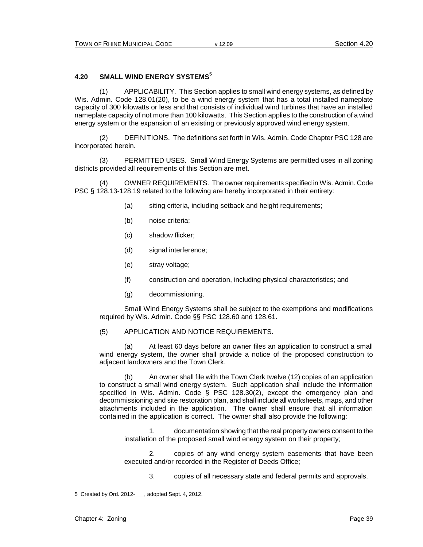#### **4.20 SMALL WIND ENERGY SYSTEMS<sup>5</sup>**

(1) APPLICABILITY. This Section applies to small wind energy systems, as defined by Wis. Admin. Code 128.01(20), to be a wind energy system that has a total installed nameplate capacity of 300 kilowatts or less and that consists of individual wind turbines that have an installed nameplate capacity of not more than 100 kilowatts. This Section applies to the construction of a wind energy system or the expansion of an existing or previously approved wind energy system.

(2) DEFINITIONS. The definitions set forth in Wis. Admin. Code Chapter PSC 128 are incorporated herein.

(3) PERMITTED USES. Small Wind Energy Systems are permitted uses in all zoning districts provided all requirements of this Section are met.

(4) OWNER REQUIREMENTS. The owner requirements specified in Wis. Admin. Code PSC § 128.13-128.19 related to the following are hereby incorporated in their entirety:

- (a) siting criteria, including setback and height requirements;
- (b) noise criteria;
- (c) shadow flicker;
- (d) signal interference;
- (e) stray voltage;
- (f) construction and operation, including physical characteristics; and
- (g) decommissioning.

Small Wind Energy Systems shall be subject to the exemptions and modifications required by Wis. Admin. Code §§ PSC 128.60 and 128.61.

(5) APPLICATION AND NOTICE REQUIREMENTS.

(a) At least 60 days before an owner files an application to construct a small wind energy system, the owner shall provide a notice of the proposed construction to adjacent landowners and the Town Clerk.

(b) An owner shall file with the Town Clerk twelve (12) copies of an application to construct a small wind energy system. Such application shall include the information specified in Wis. Admin. Code  $\S$  PSC 128.30(2), except the emergency plan and decommissioning and site restoration plan, and shall include all worksheets, maps, and other attachments included in the application. The owner shall ensure that all information contained in the application is correct. The owner shall also provide the following:

1. documentation showing that the real property owners consent to the installation of the proposed small wind energy system on their property;

2. copies of any wind energy system easements that have been executed and/or recorded in the Register of Deeds Office;

3. copies of all necessary state and federal permits and approvals.

 $\overline{a}$ 

<sup>5</sup> Created by Ord. 2012-\_\_\_, adopted Sept. 4, 2012.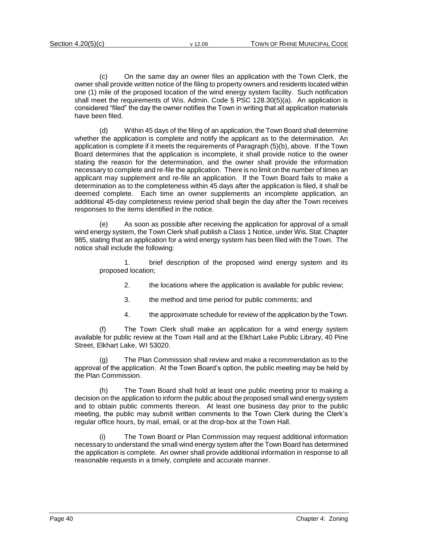(c) On the same day an owner files an application with the Town Clerk, the owner shall provide written notice of the filing to property owners and residents located within one (1) mile of the proposed location of the wind energy system facility. Such notification shall meet the requirements of Wis. Admin. Code § PSC 128.30(5)(a). An application is considered "filed" the day the owner notifies the Town in writing that all application materials have been filed.

(d) Within 45 days of the filing of an application, the Town Board shall determine whether the application is complete and notify the applicant as to the determination. An application is complete if it meets the requirements of Paragraph (5)(b), above. If the Town Board determines that the application is incomplete, it shall provide notice to the owner stating the reason for the determination, and the owner shall provide the information necessary to complete and re-file the application. There is no limit on the number of times an applicant may supplement and re-file an application. If the Town Board fails to make a determination as to the completeness within 45 days after the application is filed, it shall be deemed complete. Each time an owner supplements an incomplete application, an additional 45-day completeness review period shall begin the day after the Town receives responses to the items identified in the notice.

(e) As soon as possible after receiving the application for approval of a small wind energy system, the Town Clerk shall publish a Class 1 Notice, under Wis. Stat. Chapter 985, stating that an application for a wind energy system has been filed with the Town. The notice shall include the following:

1. brief description of the proposed wind energy system and its proposed location;

- 2. the locations where the application is available for public review;
- 3. the method and time period for public comments; and
- 4. the approximate schedule for review of the application by the Town.

(f) The Town Clerk shall make an application for a wind energy system available for public review at the Town Hall and at the Elkhart Lake Public Library, 40 Pine Street, Elkhart Lake, WI 53020.

(g) The Plan Commission shall review and make a recommendation as to the approval of the application. At the Town Board's option, the public meeting may be held by the Plan Commission.

(h) The Town Board shall hold at least one public meeting prior to making a decision on the application to inform the public about the proposed small wind energy system and to obtain public comments thereon. At least one business day prior to the public meeting, the public may submit written comments to the Town Clerk during the Clerk's regular office hours, by mail, email, or at the drop-box at the Town Hall.

(i) The Town Board or Plan Commission may request additional information necessary to understand the small wind energy system after the Town Board has determined the application is complete. An owner shall provide additional information in response to all reasonable requests in a timely, complete and accurate manner.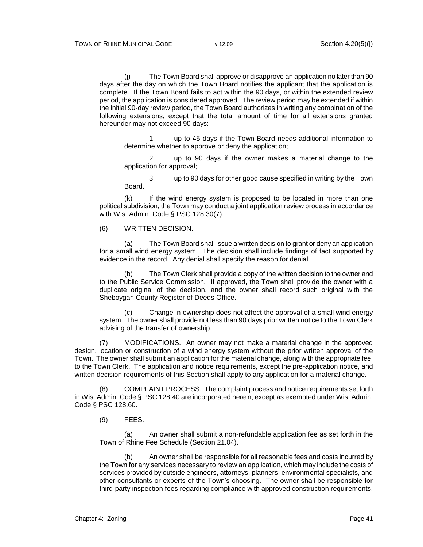(j) The Town Board shall approve or disapprove an application no later than 90 days after the day on which the Town Board notifies the applicant that the application is complete. If the Town Board fails to act within the 90 days, or within the extended review period, the application is considered approved. The review period may be extended if within the initial 90-day review period, the Town Board authorizes in writing any combination of the following extensions, except that the total amount of time for all extensions granted hereunder may not exceed 90 days:

1. up to 45 days if the Town Board needs additional information to determine whether to approve or deny the application;

2. up to 90 days if the owner makes a material change to the application for approval;

3. up to 90 days for other good cause specified in writing by the Town Board.

(k) If the wind energy system is proposed to be located in more than one political subdivision, the Town may conduct a joint application review process in accordance with Wis. Admin. Code § PSC 128.30(7).

#### (6) WRITTEN DECISION.

(a) The Town Board shall issue a written decision to grant or deny an application for a small wind energy system. The decision shall include findings of fact supported by evidence in the record. Any denial shall specify the reason for denial.

(b) The Town Clerk shall provide a copy of the written decision to the owner and to the Public Service Commission. If approved, the Town shall provide the owner with a duplicate original of the decision, and the owner shall record such original with the Sheboygan County Register of Deeds Office.

(c) Change in ownership does not affect the approval of a small wind energy system. The owner shall provide not less than 90 days prior written notice to the Town Clerk advising of the transfer of ownership.

(7) MODIFICATIONS. An owner may not make a material change in the approved design, location or construction of a wind energy system without the prior written approval of the Town. The owner shall submit an application for the material change, along with the appropriate fee, to the Town Clerk. The application and notice requirements, except the pre-application notice, and written decision requirements of this Section shall apply to any application for a material change.

(8) COMPLAINT PROCESS. The complaint process and notice requirements set forth in Wis. Admin. Code § PSC 128.40 are incorporated herein, except as exempted under Wis. Admin. Code § PSC 128.60.

(9) FEES.

(a) An owner shall submit a non-refundable application fee as set forth in the Town of Rhine Fee Schedule (Section 21.04).

(b) An owner shall be responsible for all reasonable fees and costs incurred by the Town for any services necessary to review an application, which may include the costs of services provided by outside engineers, attorneys, planners, environmental specialists, and other consultants or experts of the Town's choosing. The owner shall be responsible for third-party inspection fees regarding compliance with approved construction requirements.